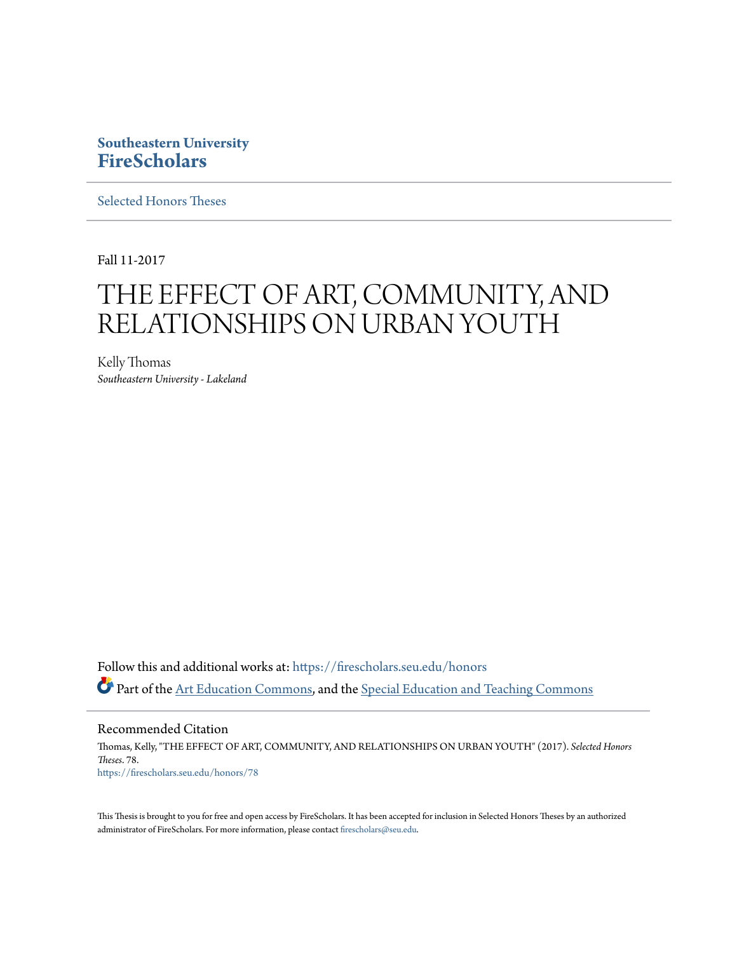# **Southeastern University [FireScholars](https://firescholars.seu.edu?utm_source=firescholars.seu.edu%2Fhonors%2F78&utm_medium=PDF&utm_campaign=PDFCoverPages)**

[Selected Honors Theses](https://firescholars.seu.edu/honors?utm_source=firescholars.seu.edu%2Fhonors%2F78&utm_medium=PDF&utm_campaign=PDFCoverPages)

Fall 11-2017

# THE EFFECT OF ART, COMMUNITY, AND RELATIONSHIPS ON URBAN YOUTH

Kelly Thomas *Southeastern University - Lakeland*

Follow this and additional works at: [https://firescholars.seu.edu/honors](https://firescholars.seu.edu/honors?utm_source=firescholars.seu.edu%2Fhonors%2F78&utm_medium=PDF&utm_campaign=PDFCoverPages) Part of the [Art Education Commons,](http://network.bepress.com/hgg/discipline/1149?utm_source=firescholars.seu.edu%2Fhonors%2F78&utm_medium=PDF&utm_campaign=PDFCoverPages) and the [Special Education and Teaching Commons](http://network.bepress.com/hgg/discipline/801?utm_source=firescholars.seu.edu%2Fhonors%2F78&utm_medium=PDF&utm_campaign=PDFCoverPages)

Recommended Citation Thomas, Kelly, "THE EFFECT OF ART, COMMUNITY, AND RELATIONSHIPS ON URBAN YOUTH" (2017). *Selected Honors Theses*. 78.

[https://firescholars.seu.edu/honors/78](https://firescholars.seu.edu/honors/78?utm_source=firescholars.seu.edu%2Fhonors%2F78&utm_medium=PDF&utm_campaign=PDFCoverPages)

This Thesis is brought to you for free and open access by FireScholars. It has been accepted for inclusion in Selected Honors Theses by an authorized administrator of FireScholars. For more information, please contact [firescholars@seu.edu](mailto:firescholars@seu.edu).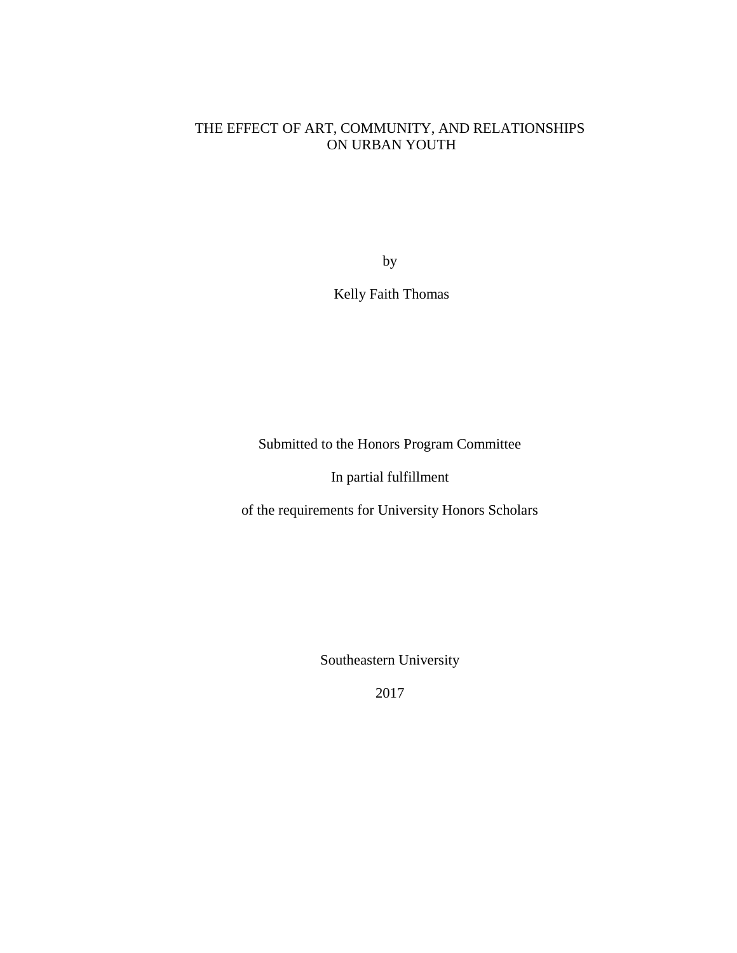### THE EFFECT OF ART, COMMUNITY, AND RELATIONSHIPS ON URBAN YOUTH

by

Kelly Faith Thomas

Submitted to the Honors Program Committee

In partial fulfillment

of the requirements for University Honors Scholars

Southeastern University

2017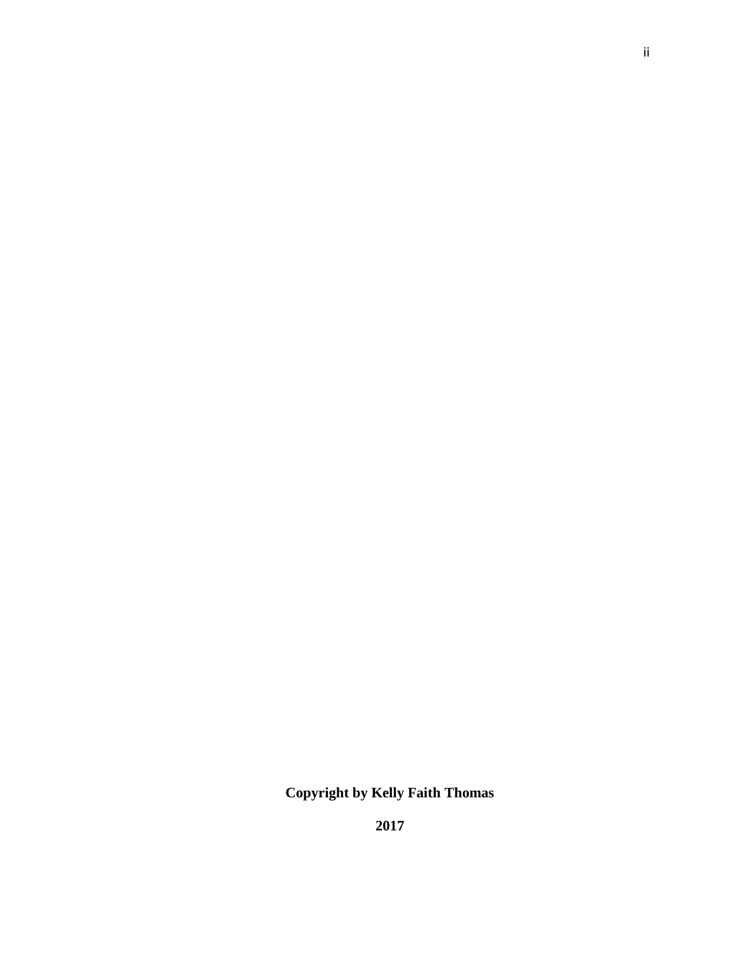**Copyright by Kelly Faith Thomas**

**2017**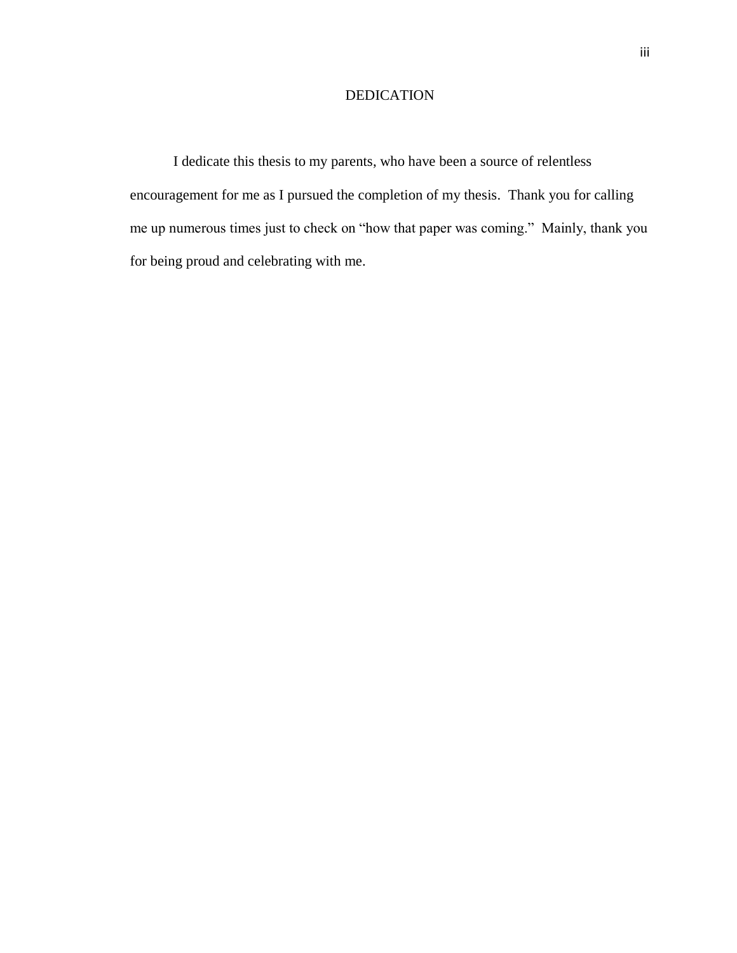## DEDICATION

I dedicate this thesis to my parents, who have been a source of relentless encouragement for me as I pursued the completion of my thesis. Thank you for calling me up numerous times just to check on "how that paper was coming." Mainly, thank you for being proud and celebrating with me.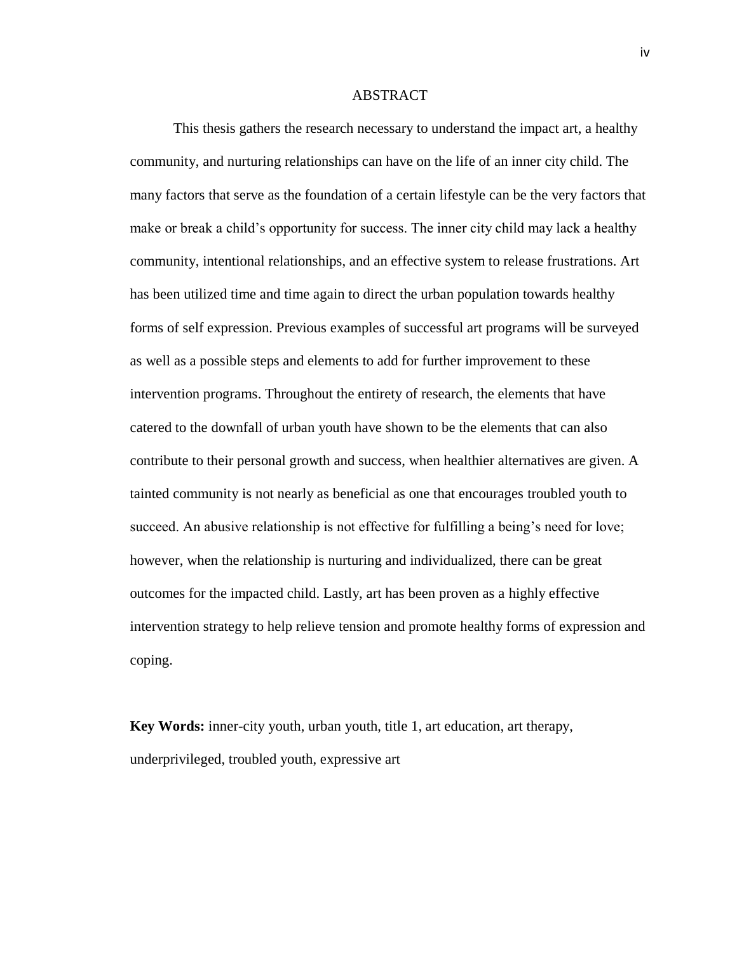#### ABSTRACT

This thesis gathers the research necessary to understand the impact art, a healthy community, and nurturing relationships can have on the life of an inner city child. The many factors that serve as the foundation of a certain lifestyle can be the very factors that make or break a child's opportunity for success. The inner city child may lack a healthy community, intentional relationships, and an effective system to release frustrations. Art has been utilized time and time again to direct the urban population towards healthy forms of self expression. Previous examples of successful art programs will be surveyed as well as a possible steps and elements to add for further improvement to these intervention programs. Throughout the entirety of research, the elements that have catered to the downfall of urban youth have shown to be the elements that can also contribute to their personal growth and success, when healthier alternatives are given. A tainted community is not nearly as beneficial as one that encourages troubled youth to succeed. An abusive relationship is not effective for fulfilling a being's need for love; however, when the relationship is nurturing and individualized, there can be great outcomes for the impacted child. Lastly, art has been proven as a highly effective intervention strategy to help relieve tension and promote healthy forms of expression and coping.

**Key Words:** inner-city youth, urban youth, title 1, art education, art therapy, underprivileged, troubled youth, expressive art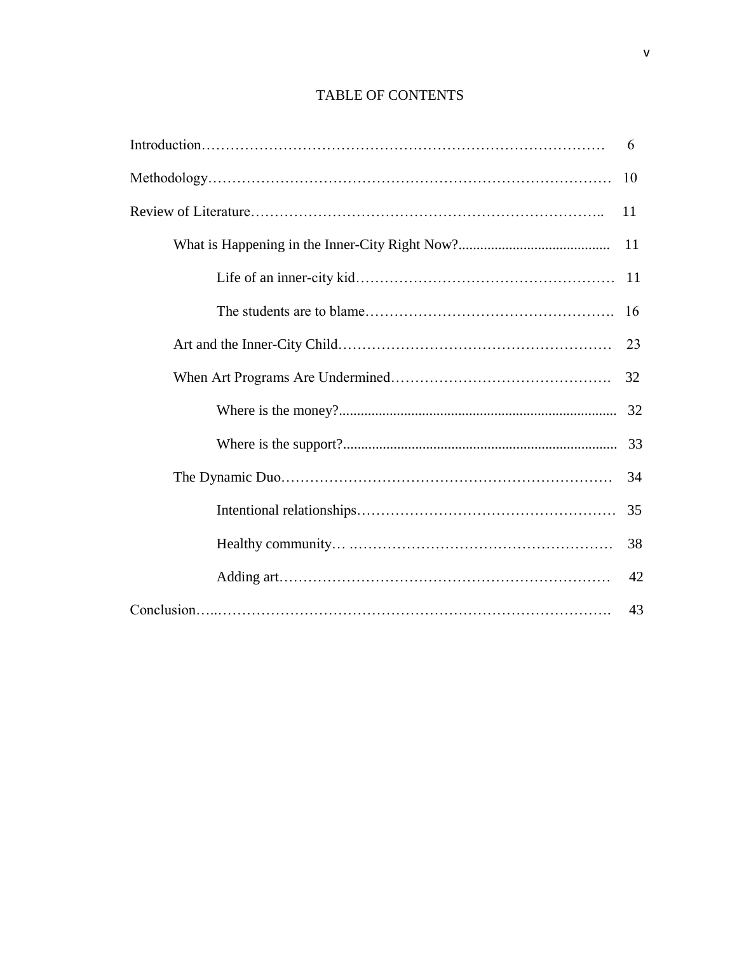# TABLE OF CONTENTS

| 6  |
|----|
| 10 |
| 11 |
| 11 |
| 11 |
| 16 |
| 23 |
| 32 |
|    |
|    |
| 34 |
| 35 |
| 38 |
| 42 |
| 43 |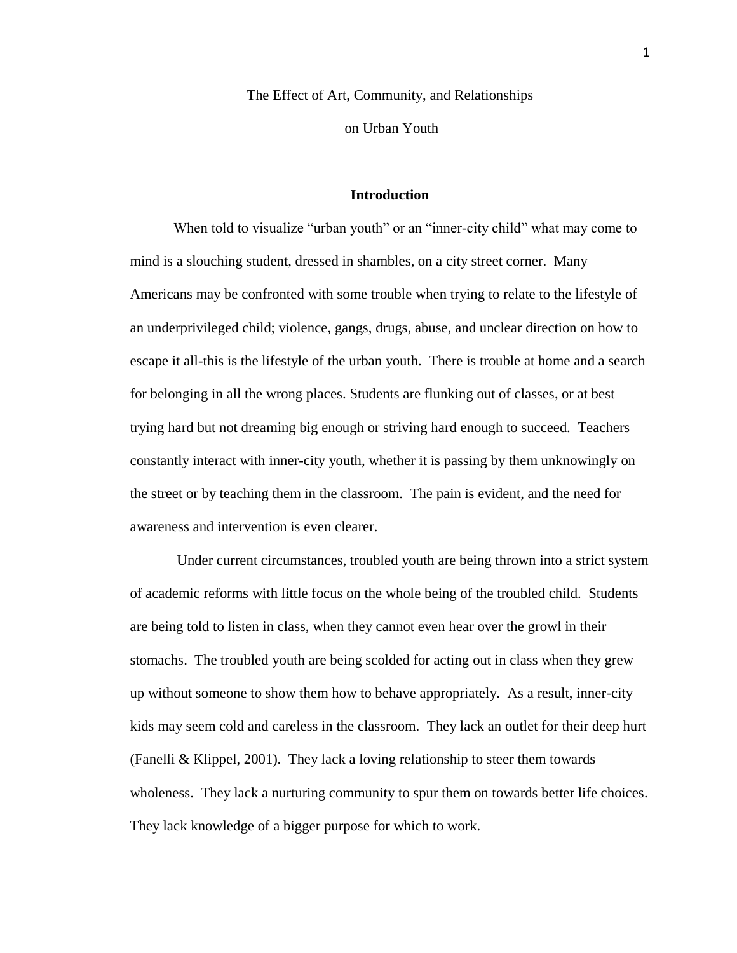The Effect of Art, Community, and Relationships

on Urban Youth

#### **Introduction**

When told to visualize "urban youth" or an "inner-city child" what may come to mind is a slouching student, dressed in shambles, on a city street corner. Many Americans may be confronted with some trouble when trying to relate to the lifestyle of an underprivileged child; violence, gangs, drugs, abuse, and unclear direction on how to escape it all-this is the lifestyle of the urban youth. There is trouble at home and a search for belonging in all the wrong places. Students are flunking out of classes, or at best trying hard but not dreaming big enough or striving hard enough to succeed. Teachers constantly interact with inner-city youth, whether it is passing by them unknowingly on the street or by teaching them in the classroom. The pain is evident, and the need for awareness and intervention is even clearer.

Under current circumstances, troubled youth are being thrown into a strict system of academic reforms with little focus on the whole being of the troubled child. Students are being told to listen in class, when they cannot even hear over the growl in their stomachs. The troubled youth are being scolded for acting out in class when they grew up without someone to show them how to behave appropriately. As a result, inner-city kids may seem cold and careless in the classroom. They lack an outlet for their deep hurt (Fanelli & Klippel, 2001). They lack a loving relationship to steer them towards wholeness. They lack a nurturing community to spur them on towards better life choices. They lack knowledge of a bigger purpose for which to work.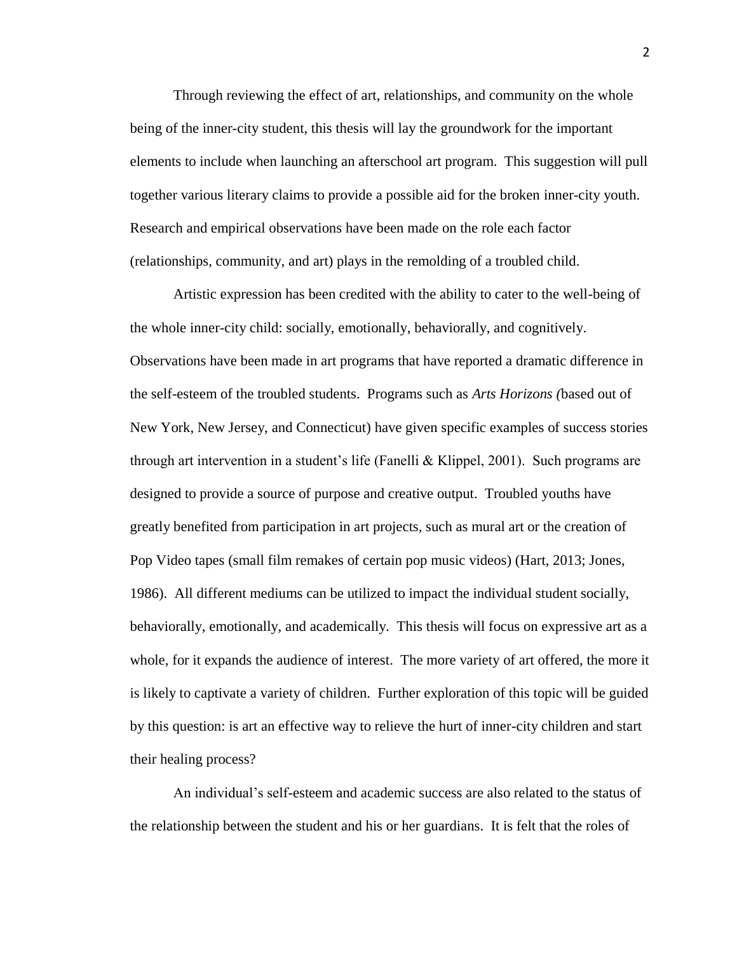Through reviewing the effect of art, relationships, and community on the whole being of the inner-city student, this thesis will lay the groundwork for the important elements to include when launching an afterschool art program. This suggestion will pull together various literary claims to provide a possible aid for the broken inner-city youth. Research and empirical observations have been made on the role each factor (relationships, community, and art) plays in the remolding of a troubled child.

Artistic expression has been credited with the ability to cater to the well-being of the whole inner-city child: socially, emotionally, behaviorally, and cognitively. Observations have been made in art programs that have reported a dramatic difference in the self-esteem of the troubled students. Programs such as *Arts Horizons (*based out of New York, New Jersey, and Connecticut) have given specific examples of success stories through art intervention in a student's life (Fanelli & Klippel, 2001). Such programs are designed to provide a source of purpose and creative output. Troubled youths have greatly benefited from participation in art projects, such as mural art or the creation of Pop Video tapes (small film remakes of certain pop music videos) (Hart, 2013; Jones, 1986). All different mediums can be utilized to impact the individual student socially, behaviorally, emotionally, and academically. This thesis will focus on expressive art as a whole, for it expands the audience of interest. The more variety of art offered, the more it is likely to captivate a variety of children. Further exploration of this topic will be guided by this question: is art an effective way to relieve the hurt of inner-city children and start their healing process?

An individual's self-esteem and academic success are also related to the status of the relationship between the student and his or her guardians. It is felt that the roles of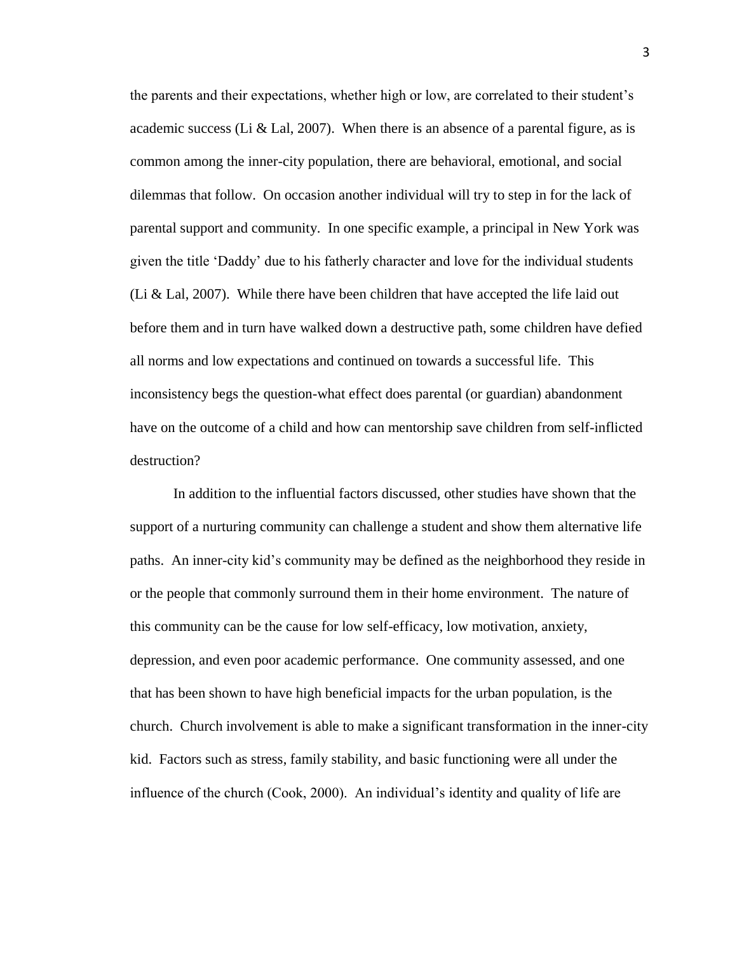the parents and their expectations, whether high or low, are correlated to their student's academic success (Li & Lal, 2007). When there is an absence of a parental figure, as is common among the inner-city population, there are behavioral, emotional, and social dilemmas that follow. On occasion another individual will try to step in for the lack of parental support and community. In one specific example, a principal in New York was given the title 'Daddy' due to his fatherly character and love for the individual students (Li  $\&$  Lal, 2007). While there have been children that have accepted the life laid out before them and in turn have walked down a destructive path, some children have defied all norms and low expectations and continued on towards a successful life. This inconsistency begs the question-what effect does parental (or guardian) abandonment have on the outcome of a child and how can mentorship save children from self-inflicted destruction?

In addition to the influential factors discussed, other studies have shown that the support of a nurturing community can challenge a student and show them alternative life paths. An inner-city kid's community may be defined as the neighborhood they reside in or the people that commonly surround them in their home environment. The nature of this community can be the cause for low self-efficacy, low motivation, anxiety, depression, and even poor academic performance. One community assessed, and one that has been shown to have high beneficial impacts for the urban population, is the church. Church involvement is able to make a significant transformation in the inner-city kid. Factors such as stress, family stability, and basic functioning were all under the influence of the church (Cook, 2000). An individual's identity and quality of life are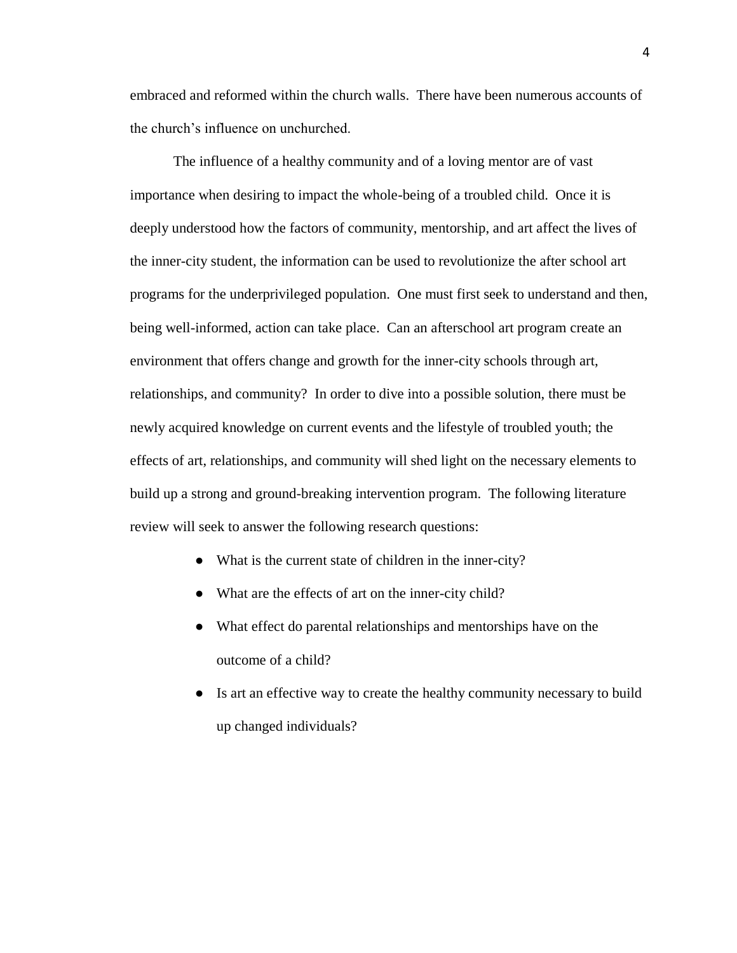embraced and reformed within the church walls. There have been numerous accounts of the church's influence on unchurched.

The influence of a healthy community and of a loving mentor are of vast importance when desiring to impact the whole-being of a troubled child. Once it is deeply understood how the factors of community, mentorship, and art affect the lives of the inner-city student, the information can be used to revolutionize the after school art programs for the underprivileged population. One must first seek to understand and then, being well-informed, action can take place. Can an afterschool art program create an environment that offers change and growth for the inner-city schools through art, relationships, and community? In order to dive into a possible solution, there must be newly acquired knowledge on current events and the lifestyle of troubled youth; the effects of art, relationships, and community will shed light on the necessary elements to build up a strong and ground-breaking intervention program. The following literature review will seek to answer the following research questions:

- What is the current state of children in the inner-city?
- What are the effects of art on the inner-city child?
- What effect do parental relationships and mentorships have on the outcome of a child?
- Is art an effective way to create the healthy community necessary to build up changed individuals?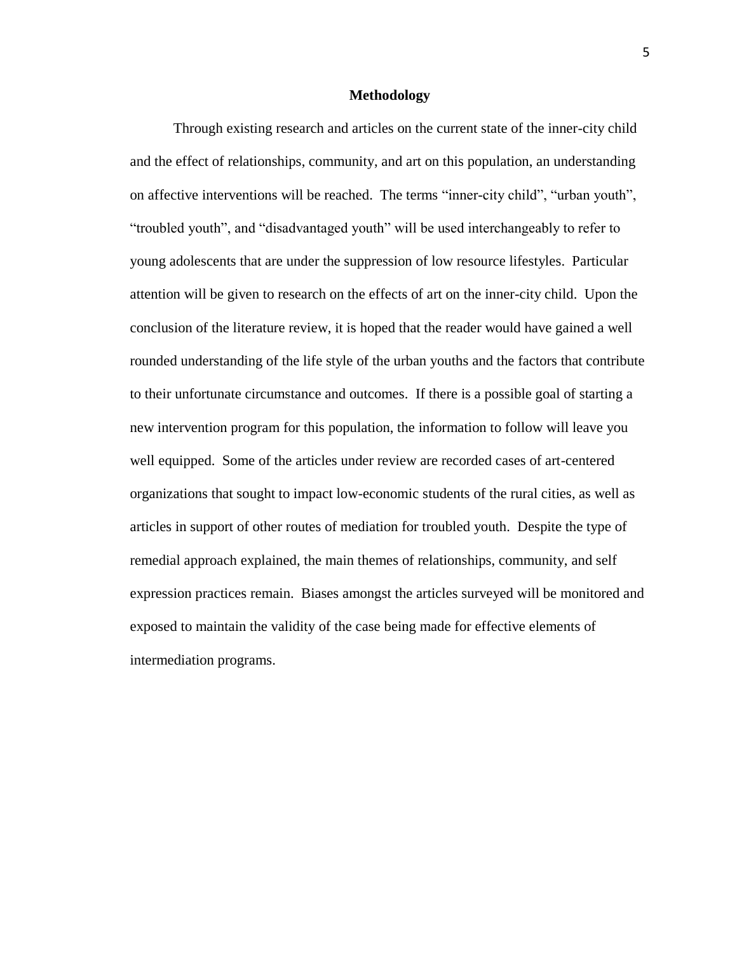#### **Methodology**

Through existing research and articles on the current state of the inner-city child and the effect of relationships, community, and art on this population, an understanding on affective interventions will be reached. The terms "inner-city child", "urban youth", "troubled youth", and "disadvantaged youth" will be used interchangeably to refer to young adolescents that are under the suppression of low resource lifestyles. Particular attention will be given to research on the effects of art on the inner-city child. Upon the conclusion of the literature review, it is hoped that the reader would have gained a well rounded understanding of the life style of the urban youths and the factors that contribute to their unfortunate circumstance and outcomes. If there is a possible goal of starting a new intervention program for this population, the information to follow will leave you well equipped. Some of the articles under review are recorded cases of art-centered organizations that sought to impact low-economic students of the rural cities, as well as articles in support of other routes of mediation for troubled youth. Despite the type of remedial approach explained, the main themes of relationships, community, and self expression practices remain. Biases amongst the articles surveyed will be monitored and exposed to maintain the validity of the case being made for effective elements of intermediation programs.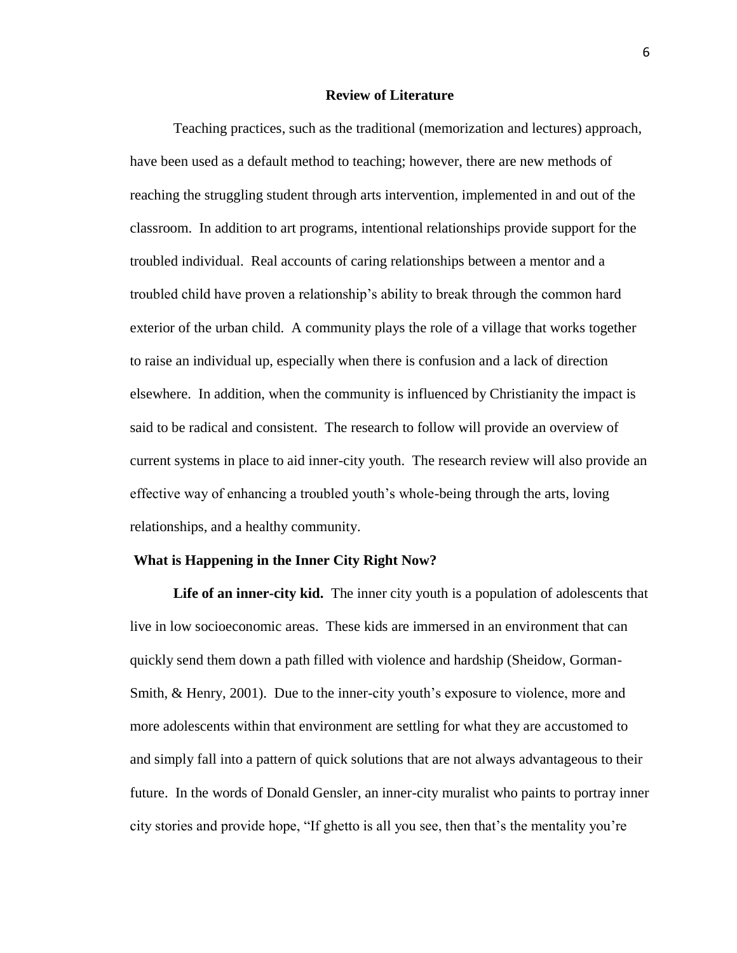#### **Review of Literature**

Teaching practices, such as the traditional (memorization and lectures) approach, have been used as a default method to teaching; however, there are new methods of reaching the struggling student through arts intervention, implemented in and out of the classroom. In addition to art programs, intentional relationships provide support for the troubled individual. Real accounts of caring relationships between a mentor and a troubled child have proven a relationship's ability to break through the common hard exterior of the urban child. A community plays the role of a village that works together to raise an individual up, especially when there is confusion and a lack of direction elsewhere. In addition, when the community is influenced by Christianity the impact is said to be radical and consistent. The research to follow will provide an overview of current systems in place to aid inner-city youth. The research review will also provide an effective way of enhancing a troubled youth's whole-being through the arts, loving relationships, and a healthy community.

#### **What is Happening in the Inner City Right Now?**

**Life of an inner-city kid.** The inner city youth is a population of adolescents that live in low socioeconomic areas. These kids are immersed in an environment that can quickly send them down a path filled with violence and hardship (Sheidow, Gorman-Smith, & Henry, 2001). Due to the inner-city youth's exposure to violence, more and more adolescents within that environment are settling for what they are accustomed to and simply fall into a pattern of quick solutions that are not always advantageous to their future. In the words of Donald Gensler, an inner-city muralist who paints to portray inner city stories and provide hope, "If ghetto is all you see, then that's the mentality you're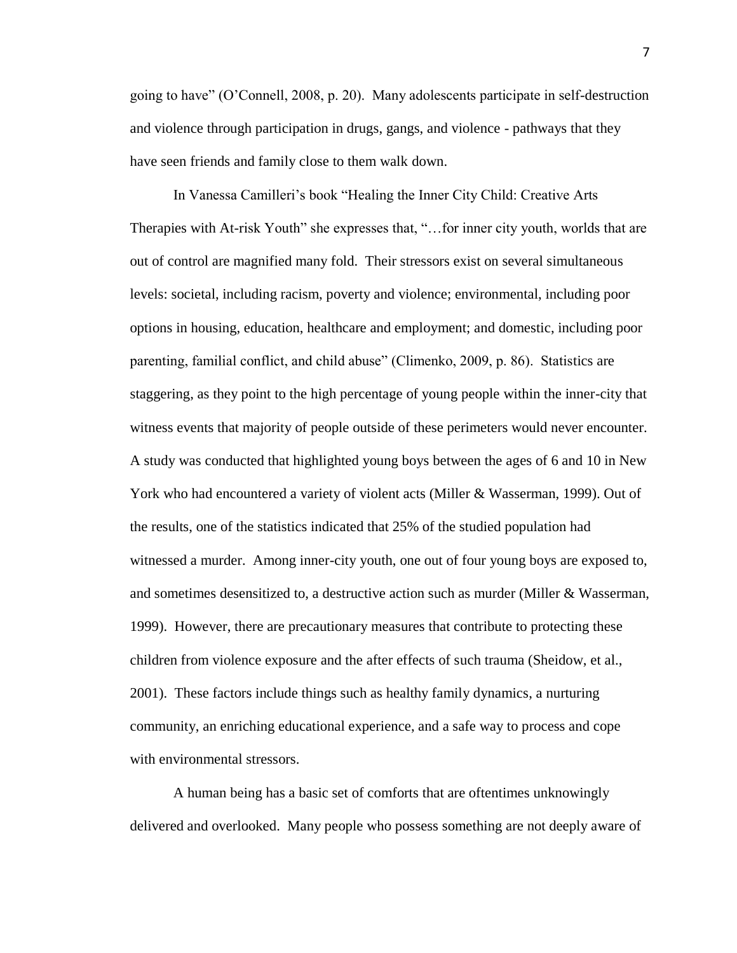going to have" (O'Connell, 2008, p. 20). Many adolescents participate in self-destruction and violence through participation in drugs, gangs, and violence - pathways that they have seen friends and family close to them walk down.

In Vanessa Camilleri's book "Healing the Inner City Child: Creative Arts Therapies with At-risk Youth" she expresses that, "... for inner city youth, worlds that are out of control are magnified many fold. Their stressors exist on several simultaneous levels: societal, including racism, poverty and violence; environmental, including poor options in housing, education, healthcare and employment; and domestic, including poor parenting, familial conflict, and child abuse" (Climenko, 2009, p. 86). Statistics are staggering, as they point to the high percentage of young people within the inner-city that witness events that majority of people outside of these perimeters would never encounter. A study was conducted that highlighted young boys between the ages of 6 and 10 in New York who had encountered a variety of violent acts (Miller & Wasserman, 1999). Out of the results, one of the statistics indicated that 25% of the studied population had witnessed a murder. Among inner-city youth, one out of four young boys are exposed to, and sometimes desensitized to, a destructive action such as murder (Miller & Wasserman, 1999). However, there are precautionary measures that contribute to protecting these children from violence exposure and the after effects of such trauma (Sheidow, et al., 2001). These factors include things such as healthy family dynamics, a nurturing community, an enriching educational experience, and a safe way to process and cope with environmental stressors.

A human being has a basic set of comforts that are oftentimes unknowingly delivered and overlooked. Many people who possess something are not deeply aware of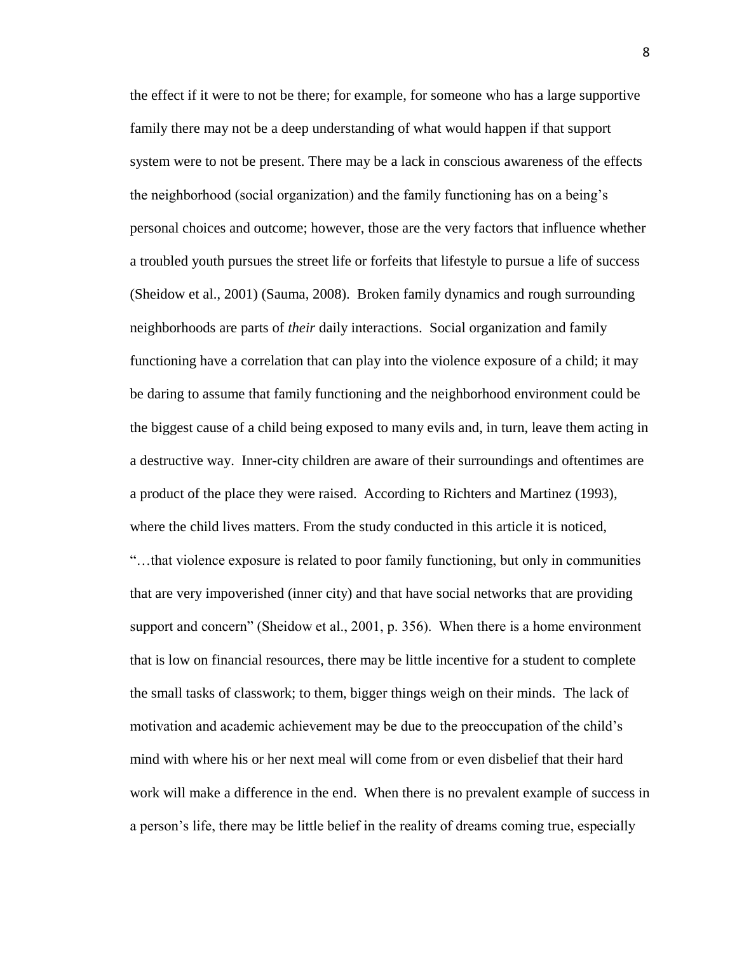the effect if it were to not be there; for example, for someone who has a large supportive family there may not be a deep understanding of what would happen if that support system were to not be present. There may be a lack in conscious awareness of the effects the neighborhood (social organization) and the family functioning has on a being's personal choices and outcome; however, those are the very factors that influence whether a troubled youth pursues the street life or forfeits that lifestyle to pursue a life of success (Sheidow et al., 2001) (Sauma, 2008). Broken family dynamics and rough surrounding neighborhoods are parts of *their* daily interactions. Social organization and family functioning have a correlation that can play into the violence exposure of a child; it may be daring to assume that family functioning and the neighborhood environment could be the biggest cause of a child being exposed to many evils and, in turn, leave them acting in a destructive way. Inner-city children are aware of their surroundings and oftentimes are a product of the place they were raised. According to Richters and Martinez (1993), where the child lives matters. From the study conducted in this article it is noticed, "…that violence exposure is related to poor family functioning, but only in communities that are very impoverished (inner city) and that have social networks that are providing support and concern" (Sheidow et al., 2001, p. 356). When there is a home environment that is low on financial resources, there may be little incentive for a student to complete the small tasks of classwork; to them, bigger things weigh on their minds. The lack of motivation and academic achievement may be due to the preoccupation of the child's mind with where his or her next meal will come from or even disbelief that their hard work will make a difference in the end. When there is no prevalent example of success in a person's life, there may be little belief in the reality of dreams coming true, especially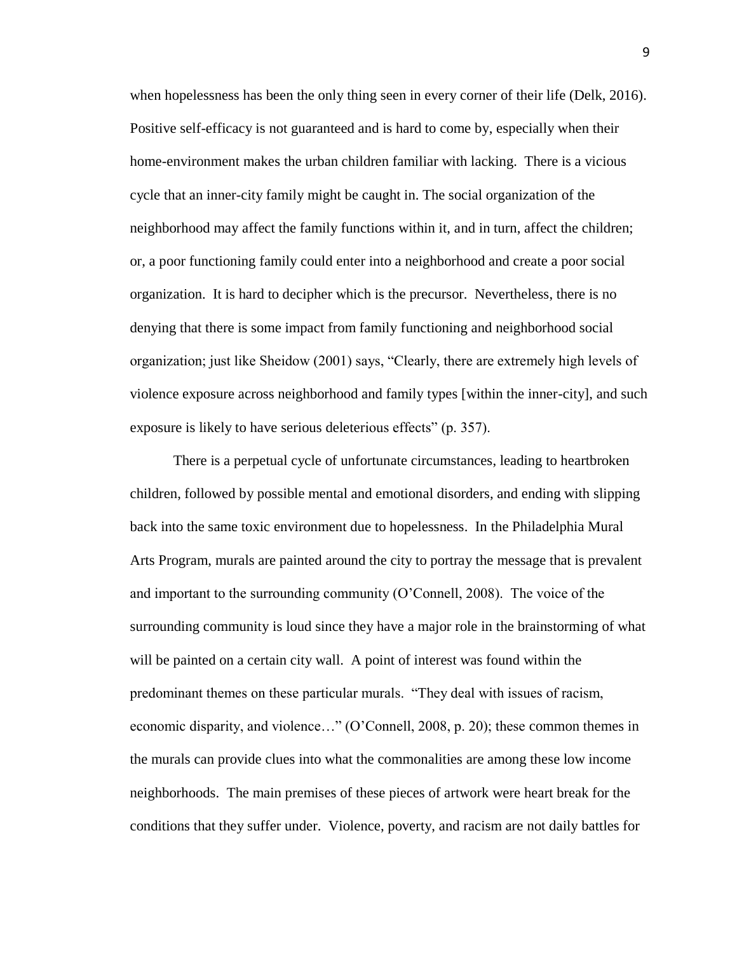when hopelessness has been the only thing seen in every corner of their life (Delk, 2016). Positive self-efficacy is not guaranteed and is hard to come by, especially when their home-environment makes the urban children familiar with lacking. There is a vicious cycle that an inner-city family might be caught in. The social organization of the neighborhood may affect the family functions within it, and in turn, affect the children; or, a poor functioning family could enter into a neighborhood and create a poor social organization. It is hard to decipher which is the precursor. Nevertheless, there is no denying that there is some impact from family functioning and neighborhood social organization; just like Sheidow (2001) says, "Clearly, there are extremely high levels of violence exposure across neighborhood and family types [within the inner-city], and such exposure is likely to have serious deleterious effects" (p. 357).

There is a perpetual cycle of unfortunate circumstances, leading to heartbroken children, followed by possible mental and emotional disorders, and ending with slipping back into the same toxic environment due to hopelessness. In the Philadelphia Mural Arts Program, murals are painted around the city to portray the message that is prevalent and important to the surrounding community (O'Connell, 2008). The voice of the surrounding community is loud since they have a major role in the brainstorming of what will be painted on a certain city wall. A point of interest was found within the predominant themes on these particular murals. "They deal with issues of racism, economic disparity, and violence…" (O'Connell, 2008, p. 20); these common themes in the murals can provide clues into what the commonalities are among these low income neighborhoods. The main premises of these pieces of artwork were heart break for the conditions that they suffer under. Violence, poverty, and racism are not daily battles for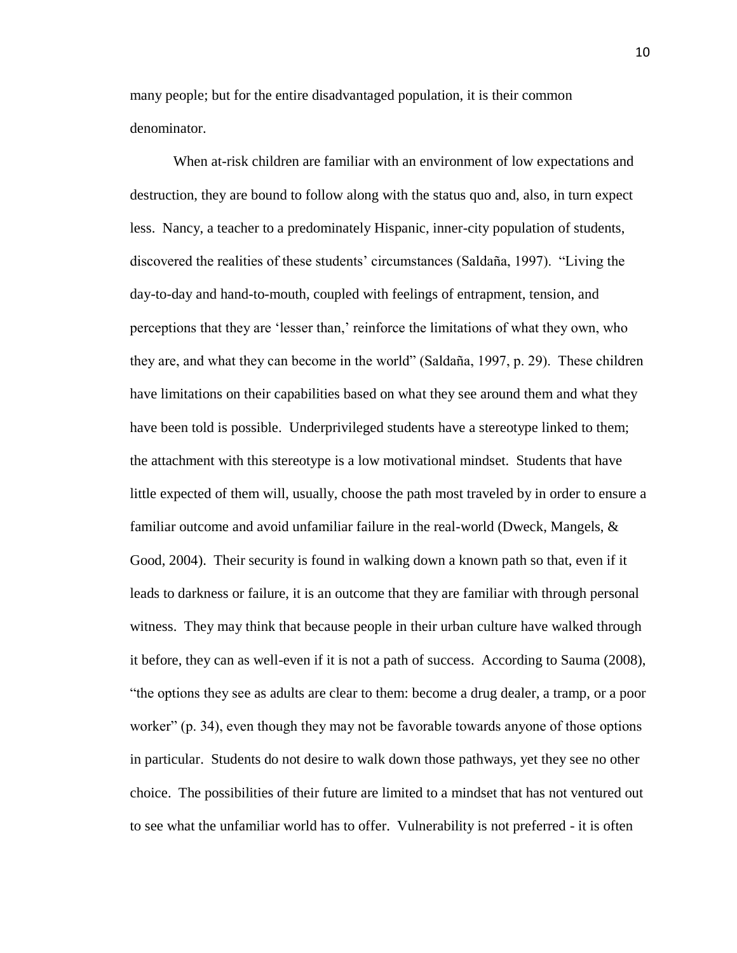many people; but for the entire disadvantaged population, it is their common denominator.

When at-risk children are familiar with an environment of low expectations and destruction, they are bound to follow along with the status quo and, also, in turn expect less. Nancy, a teacher to a predominately Hispanic, inner-city population of students, discovered the realities of these students' circumstances (Saldaña, 1997). "Living the day-to-day and hand-to-mouth, coupled with feelings of entrapment, tension, and perceptions that they are 'lesser than,' reinforce the limitations of what they own, who they are, and what they can become in the world" (Saldaña, 1997, p. 29). These children have limitations on their capabilities based on what they see around them and what they have been told is possible. Underprivileged students have a stereotype linked to them; the attachment with this stereotype is a low motivational mindset. Students that have little expected of them will, usually, choose the path most traveled by in order to ensure a familiar outcome and avoid unfamiliar failure in the real-world (Dweck, Mangels, & Good, 2004). Their security is found in walking down a known path so that, even if it leads to darkness or failure, it is an outcome that they are familiar with through personal witness. They may think that because people in their urban culture have walked through it before, they can as well-even if it is not a path of success. According to Sauma (2008), "the options they see as adults are clear to them: become a drug dealer, a tramp, or a poor worker" (p. 34), even though they may not be favorable towards anyone of those options in particular. Students do not desire to walk down those pathways, yet they see no other choice. The possibilities of their future are limited to a mindset that has not ventured out to see what the unfamiliar world has to offer. Vulnerability is not preferred - it is often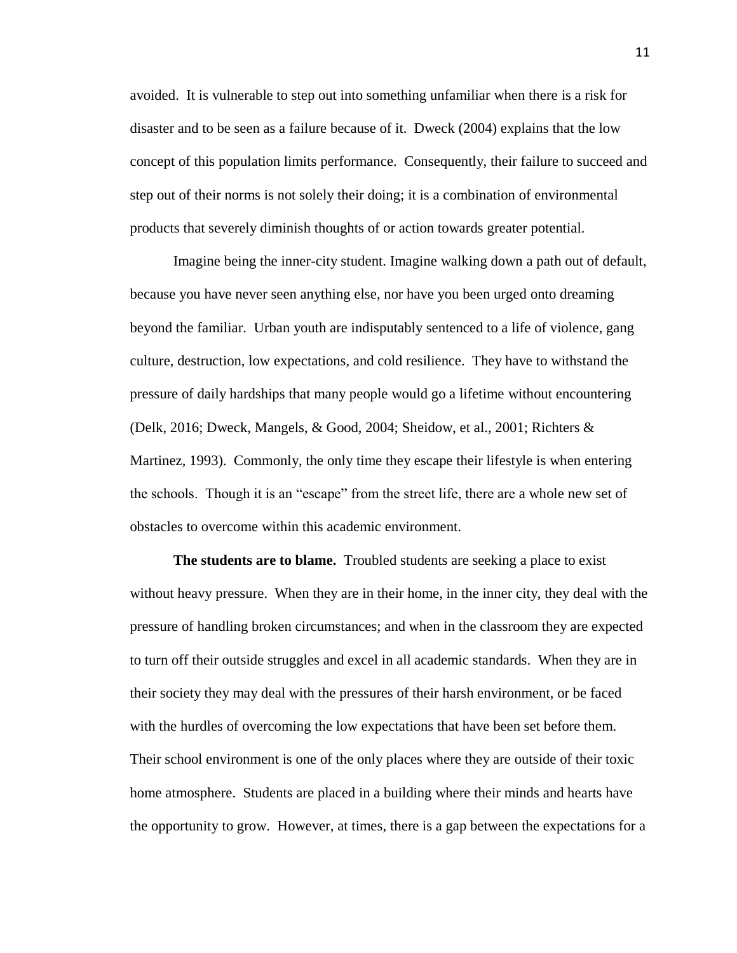avoided. It is vulnerable to step out into something unfamiliar when there is a risk for disaster and to be seen as a failure because of it. Dweck (2004) explains that the low concept of this population limits performance. Consequently, their failure to succeed and step out of their norms is not solely their doing; it is a combination of environmental products that severely diminish thoughts of or action towards greater potential.

Imagine being the inner-city student. Imagine walking down a path out of default, because you have never seen anything else, nor have you been urged onto dreaming beyond the familiar. Urban youth are indisputably sentenced to a life of violence, gang culture, destruction, low expectations, and cold resilience. They have to withstand the pressure of daily hardships that many people would go a lifetime without encountering (Delk, 2016; Dweck, Mangels, & Good, 2004; Sheidow, et al., 2001; Richters & Martinez, 1993). Commonly, the only time they escape their lifestyle is when entering the schools. Though it is an "escape" from the street life, there are a whole new set of obstacles to overcome within this academic environment.

**The students are to blame.** Troubled students are seeking a place to exist without heavy pressure. When they are in their home, in the inner city, they deal with the pressure of handling broken circumstances; and when in the classroom they are expected to turn off their outside struggles and excel in all academic standards. When they are in their society they may deal with the pressures of their harsh environment, or be faced with the hurdles of overcoming the low expectations that have been set before them. Their school environment is one of the only places where they are outside of their toxic home atmosphere. Students are placed in a building where their minds and hearts have the opportunity to grow. However, at times, there is a gap between the expectations for a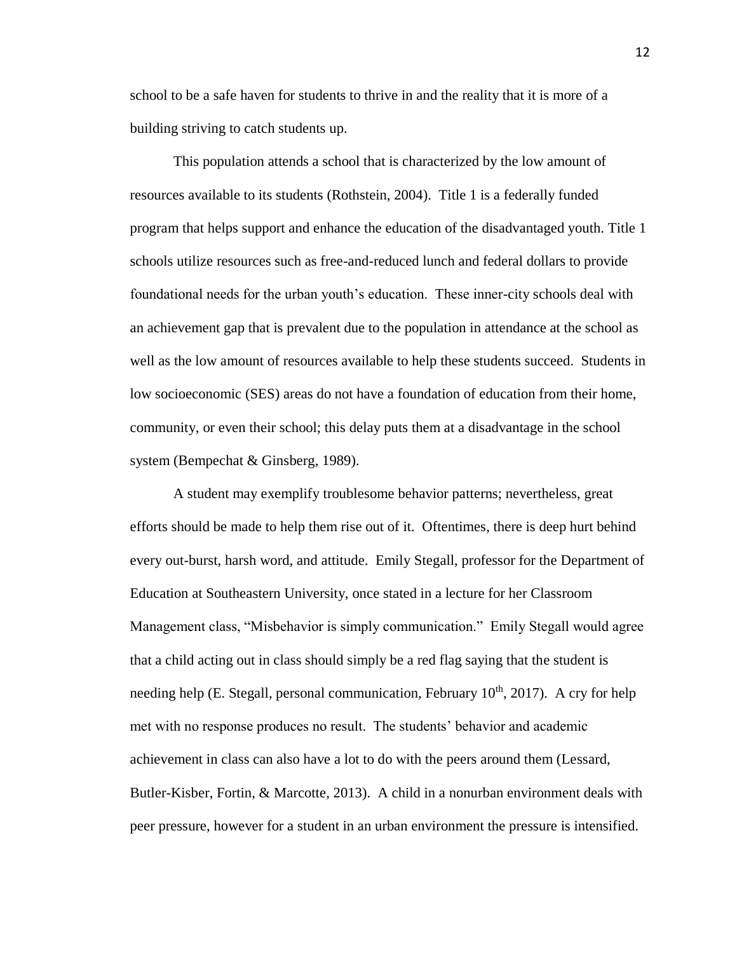school to be a safe haven for students to thrive in and the reality that it is more of a building striving to catch students up.

This population attends a school that is characterized by the low amount of resources available to its students (Rothstein, 2004). Title 1 is a federally funded program that helps support and enhance the education of the disadvantaged youth. Title 1 schools utilize resources such as free-and-reduced lunch and federal dollars to provide foundational needs for the urban youth's education. These inner-city schools deal with an achievement gap that is prevalent due to the population in attendance at the school as well as the low amount of resources available to help these students succeed. Students in low socioeconomic (SES) areas do not have a foundation of education from their home, community, or even their school; this delay puts them at a disadvantage in the school system (Bempechat & Ginsberg, 1989).

A student may exemplify troublesome behavior patterns; nevertheless, great efforts should be made to help them rise out of it. Oftentimes, there is deep hurt behind every out-burst, harsh word, and attitude. Emily Stegall, professor for the Department of Education at Southeastern University, once stated in a lecture for her Classroom Management class, "Misbehavior is simply communication." Emily Stegall would agree that a child acting out in class should simply be a red flag saying that the student is needing help (E. Stegall, personal communication, February  $10^{th}$ , 2017). A cry for help met with no response produces no result. The students' behavior and academic achievement in class can also have a lot to do with the peers around them (Lessard, Butler-Kisber, Fortin, & Marcotte, 2013). A child in a nonurban environment deals with peer pressure, however for a student in an urban environment the pressure is intensified.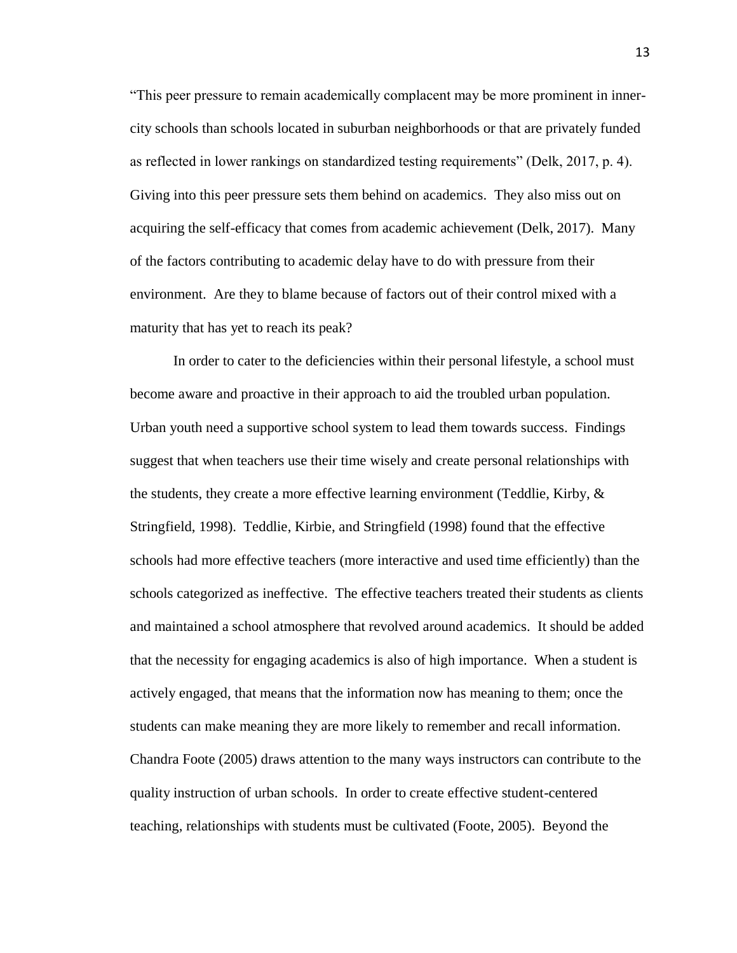"This peer pressure to remain academically complacent may be more prominent in innercity schools than schools located in suburban neighborhoods or that are privately funded as reflected in lower rankings on standardized testing requirements" (Delk, 2017, p. 4). Giving into this peer pressure sets them behind on academics. They also miss out on acquiring the self-efficacy that comes from academic achievement (Delk, 2017). Many of the factors contributing to academic delay have to do with pressure from their environment. Are they to blame because of factors out of their control mixed with a maturity that has yet to reach its peak?

In order to cater to the deficiencies within their personal lifestyle, a school must become aware and proactive in their approach to aid the troubled urban population. Urban youth need a supportive school system to lead them towards success. Findings suggest that when teachers use their time wisely and create personal relationships with the students, they create a more effective learning environment (Teddlie, Kirby, & Stringfield, 1998). Teddlie, Kirbie, and Stringfield (1998) found that the effective schools had more effective teachers (more interactive and used time efficiently) than the schools categorized as ineffective. The effective teachers treated their students as clients and maintained a school atmosphere that revolved around academics. It should be added that the necessity for engaging academics is also of high importance. When a student is actively engaged, that means that the information now has meaning to them; once the students can make meaning they are more likely to remember and recall information. Chandra Foote (2005) draws attention to the many ways instructors can contribute to the quality instruction of urban schools. In order to create effective student-centered teaching, relationships with students must be cultivated (Foote, 2005). Beyond the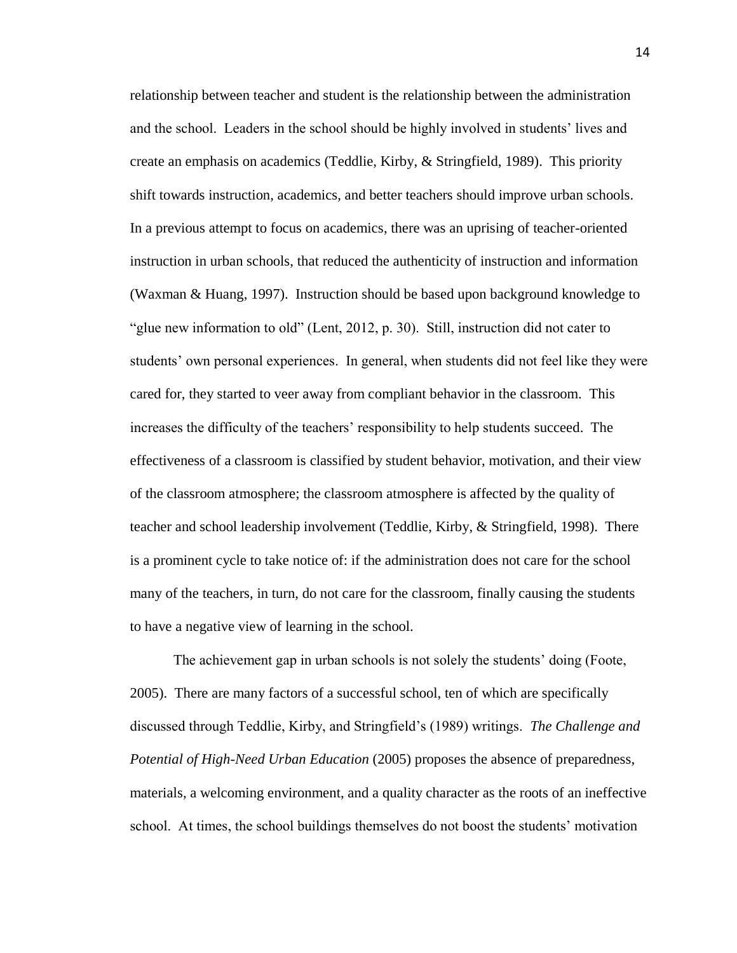relationship between teacher and student is the relationship between the administration and the school. Leaders in the school should be highly involved in students' lives and create an emphasis on academics (Teddlie, Kirby, & Stringfield, 1989). This priority shift towards instruction, academics, and better teachers should improve urban schools. In a previous attempt to focus on academics, there was an uprising of teacher-oriented instruction in urban schools, that reduced the authenticity of instruction and information (Waxman & Huang, 1997). Instruction should be based upon background knowledge to "glue new information to old" (Lent, 2012, p. 30). Still, instruction did not cater to students' own personal experiences. In general, when students did not feel like they were cared for, they started to veer away from compliant behavior in the classroom. This increases the difficulty of the teachers' responsibility to help students succeed. The effectiveness of a classroom is classified by student behavior, motivation, and their view of the classroom atmosphere; the classroom atmosphere is affected by the quality of teacher and school leadership involvement (Teddlie, Kirby, & Stringfield, 1998). There is a prominent cycle to take notice of: if the administration does not care for the school many of the teachers, in turn, do not care for the classroom, finally causing the students to have a negative view of learning in the school.

The achievement gap in urban schools is not solely the students' doing (Foote, 2005). There are many factors of a successful school, ten of which are specifically discussed through Teddlie, Kirby, and Stringfield's (1989) writings. *The Challenge and Potential of High-Need Urban Education* (2005) proposes the absence of preparedness, materials, a welcoming environment, and a quality character as the roots of an ineffective school. At times, the school buildings themselves do not boost the students' motivation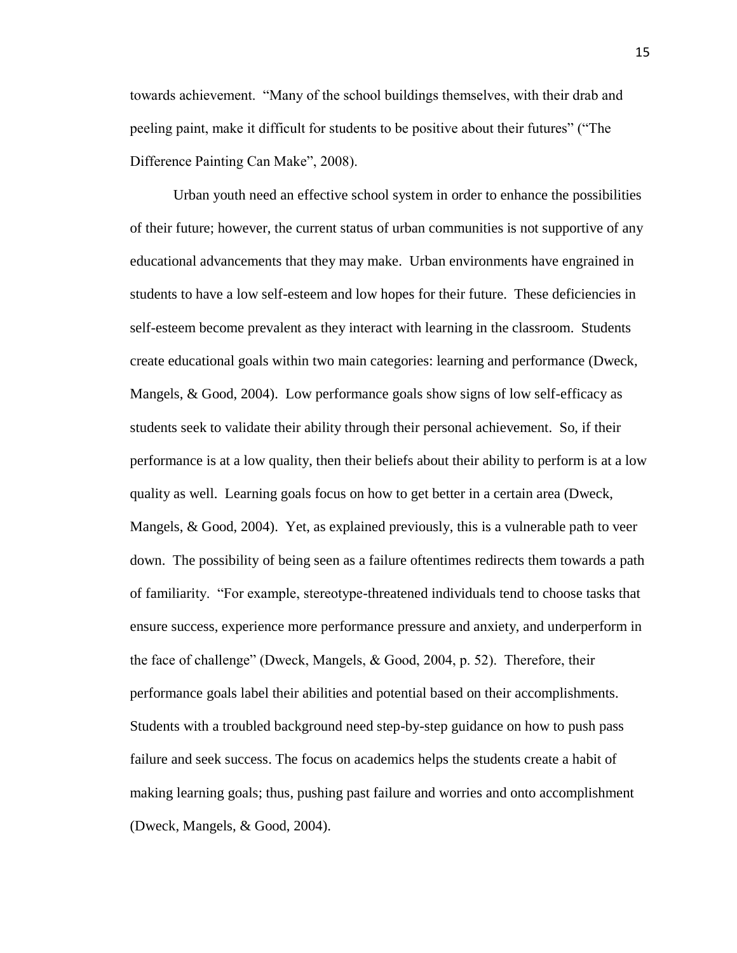towards achievement. "Many of the school buildings themselves, with their drab and peeling paint, make it difficult for students to be positive about their futures" ("The Difference Painting Can Make", 2008).

Urban youth need an effective school system in order to enhance the possibilities of their future; however, the current status of urban communities is not supportive of any educational advancements that they may make. Urban environments have engrained in students to have a low self-esteem and low hopes for their future. These deficiencies in self-esteem become prevalent as they interact with learning in the classroom. Students create educational goals within two main categories: learning and performance (Dweck, Mangels, & Good, 2004). Low performance goals show signs of low self-efficacy as students seek to validate their ability through their personal achievement. So, if their performance is at a low quality, then their beliefs about their ability to perform is at a low quality as well. Learning goals focus on how to get better in a certain area (Dweck, Mangels, & Good, 2004). Yet, as explained previously, this is a vulnerable path to veer down. The possibility of being seen as a failure oftentimes redirects them towards a path of familiarity. "For example, stereotype-threatened individuals tend to choose tasks that ensure success, experience more performance pressure and anxiety, and underperform in the face of challenge" (Dweck, Mangels, & Good, 2004, p. 52). Therefore, their performance goals label their abilities and potential based on their accomplishments. Students with a troubled background need step-by-step guidance on how to push pass failure and seek success. The focus on academics helps the students create a habit of making learning goals; thus, pushing past failure and worries and onto accomplishment (Dweck, Mangels, & Good, 2004).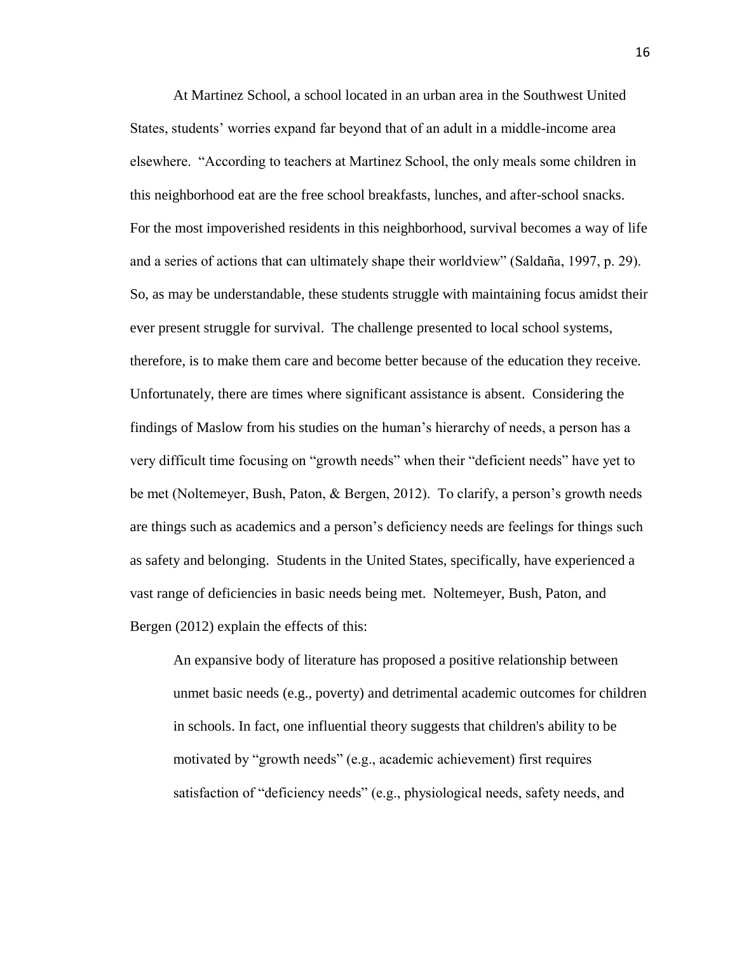At Martinez School, a school located in an urban area in the Southwest United States, students' worries expand far beyond that of an adult in a middle-income area elsewhere. "According to teachers at Martinez School, the only meals some children in this neighborhood eat are the free school breakfasts, lunches, and after-school snacks. For the most impoverished residents in this neighborhood, survival becomes a way of life and a series of actions that can ultimately shape their worldview" (Saldaña, 1997, p. 29). So, as may be understandable, these students struggle with maintaining focus amidst their ever present struggle for survival. The challenge presented to local school systems, therefore, is to make them care and become better because of the education they receive. Unfortunately, there are times where significant assistance is absent. Considering the findings of Maslow from his studies on the human's hierarchy of needs, a person has a very difficult time focusing on "growth needs" when their "deficient needs" have yet to be met (Noltemeyer, Bush, Paton, & Bergen, 2012). To clarify, a person's growth needs are things such as academics and a person's deficiency needs are feelings for things such as safety and belonging. Students in the United States, specifically, have experienced a vast range of deficiencies in basic needs being met. Noltemeyer, Bush, Paton, and Bergen (2012) explain the effects of this:

An expansive body of literature has proposed a positive relationship between unmet basic needs (e.g., poverty) and detrimental academic outcomes for children in schools. In fact, one influential theory suggests that children's ability to be motivated by "growth needs" (e.g., academic achievement) first requires satisfaction of "deficiency needs" (e.g., physiological needs, safety needs, and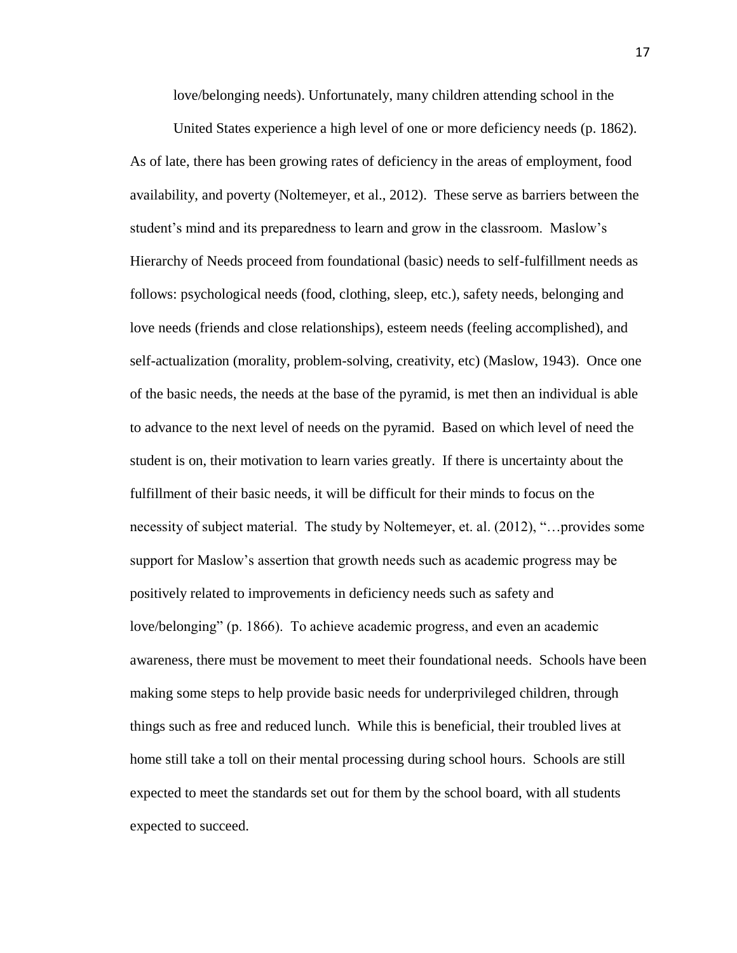love/belonging needs). Unfortunately, many children attending school in the

United States experience a high level of one or more deficiency needs (p. 1862). As of late, there has been growing rates of deficiency in the areas of employment, food availability, and poverty (Noltemeyer, et al., 2012). These serve as barriers between the student's mind and its preparedness to learn and grow in the classroom. Maslow's Hierarchy of Needs proceed from foundational (basic) needs to self-fulfillment needs as follows: psychological needs (food, clothing, sleep, etc.), safety needs, belonging and love needs (friends and close relationships), esteem needs (feeling accomplished), and self-actualization (morality, problem-solving, creativity, etc) (Maslow, 1943). Once one of the basic needs, the needs at the base of the pyramid, is met then an individual is able to advance to the next level of needs on the pyramid. Based on which level of need the student is on, their motivation to learn varies greatly. If there is uncertainty about the fulfillment of their basic needs, it will be difficult for their minds to focus on the necessity of subject material. The study by Noltemeyer, et. al. (2012), "…provides some support for Maslow's assertion that growth needs such as academic progress may be positively related to improvements in deficiency needs such as safety and love/belonging" (p. 1866). To achieve academic progress, and even an academic awareness, there must be movement to meet their foundational needs. Schools have been making some steps to help provide basic needs for underprivileged children, through things such as free and reduced lunch. While this is beneficial, their troubled lives at home still take a toll on their mental processing during school hours. Schools are still expected to meet the standards set out for them by the school board, with all students expected to succeed.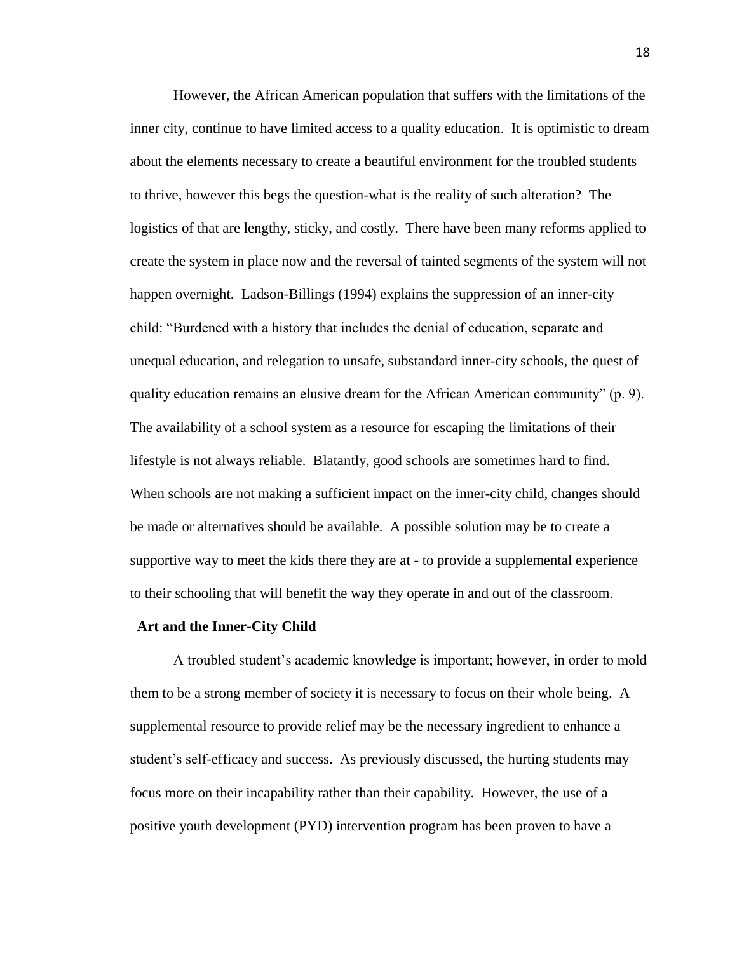However, the African American population that suffers with the limitations of the inner city, continue to have limited access to a quality education. It is optimistic to dream about the elements necessary to create a beautiful environment for the troubled students to thrive, however this begs the question-what is the reality of such alteration? The logistics of that are lengthy, sticky, and costly. There have been many reforms applied to create the system in place now and the reversal of tainted segments of the system will not happen overnight. Ladson-Billings (1994) explains the suppression of an inner-city child: "Burdened with a history that includes the denial of education, separate and unequal education, and relegation to unsafe, substandard inner-city schools, the quest of quality education remains an elusive dream for the African American community" (p. 9). The availability of a school system as a resource for escaping the limitations of their lifestyle is not always reliable. Blatantly, good schools are sometimes hard to find. When schools are not making a sufficient impact on the inner-city child, changes should be made or alternatives should be available. A possible solution may be to create a supportive way to meet the kids there they are at - to provide a supplemental experience to their schooling that will benefit the way they operate in and out of the classroom.

#### **Art and the Inner-City Child**

A troubled student's academic knowledge is important; however, in order to mold them to be a strong member of society it is necessary to focus on their whole being. A supplemental resource to provide relief may be the necessary ingredient to enhance a student's self-efficacy and success. As previously discussed, the hurting students may focus more on their incapability rather than their capability. However, the use of a positive youth development (PYD) intervention program has been proven to have a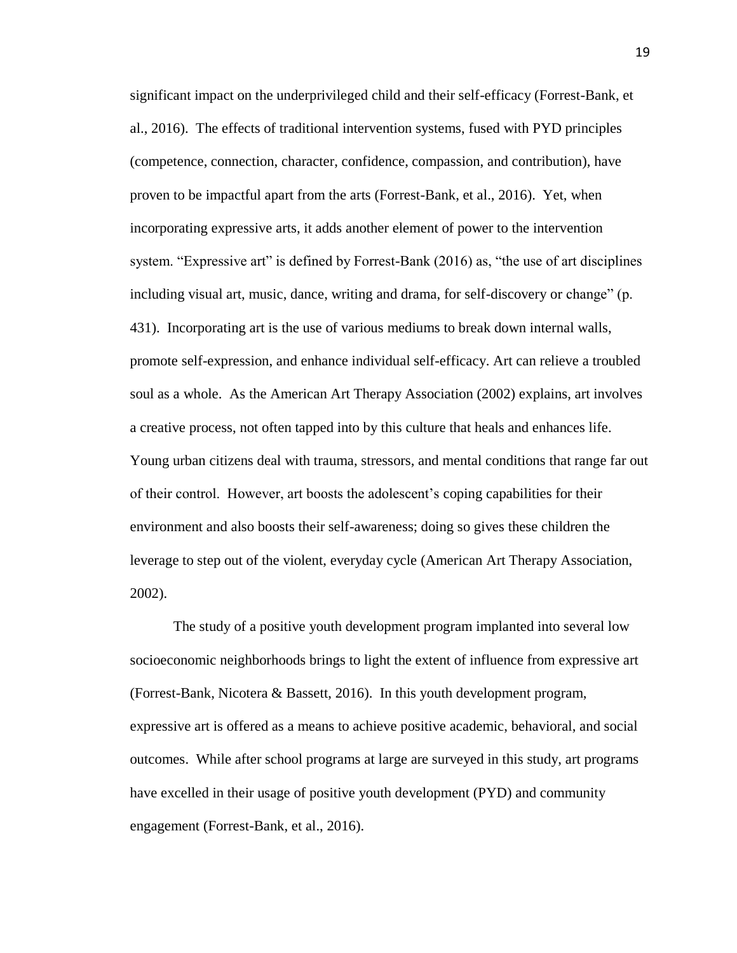significant impact on the underprivileged child and their self-efficacy (Forrest-Bank, et al., 2016). The effects of traditional intervention systems, fused with PYD principles (competence, connection, character, confidence, compassion, and contribution), have proven to be impactful apart from the arts (Forrest-Bank, et al., 2016). Yet, when incorporating expressive arts, it adds another element of power to the intervention system. "Expressive art" is defined by Forrest-Bank (2016) as, "the use of art disciplines including visual art, music, dance, writing and drama, for self-discovery or change" (p. 431). Incorporating art is the use of various mediums to break down internal walls, promote self-expression, and enhance individual self-efficacy. Art can relieve a troubled soul as a whole. As the American Art Therapy Association (2002) explains, art involves a creative process, not often tapped into by this culture that heals and enhances life. Young urban citizens deal with trauma, stressors, and mental conditions that range far out of their control. However, art boosts the adolescent's coping capabilities for their environment and also boosts their self-awareness; doing so gives these children the leverage to step out of the violent, everyday cycle (American Art Therapy Association, 2002).

The study of a positive youth development program implanted into several low socioeconomic neighborhoods brings to light the extent of influence from expressive art (Forrest-Bank, Nicotera & Bassett, 2016). In this youth development program, expressive art is offered as a means to achieve positive academic, behavioral, and social outcomes. While after school programs at large are surveyed in this study, art programs have excelled in their usage of positive youth development (PYD) and community engagement (Forrest-Bank, et al., 2016).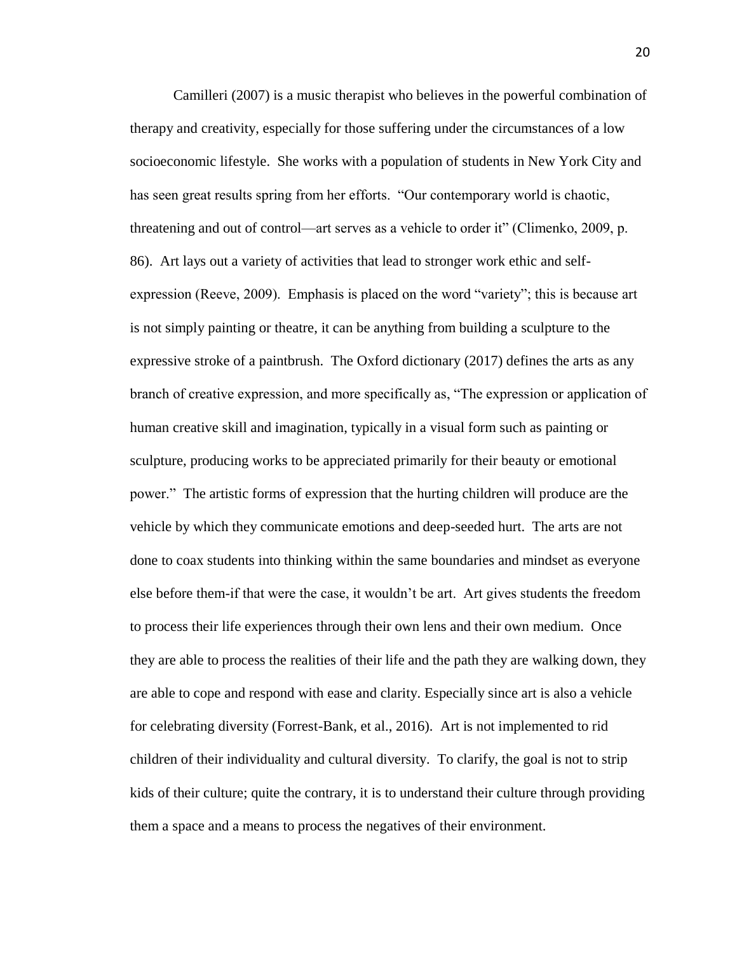Camilleri (2007) is a music therapist who believes in the powerful combination of therapy and creativity, especially for those suffering under the circumstances of a low socioeconomic lifestyle. She works with a population of students in New York City and has seen great results spring from her efforts. "Our contemporary world is chaotic, threatening and out of control—art serves as a vehicle to order it" (Climenko, 2009, p. 86). Art lays out a variety of activities that lead to stronger work ethic and selfexpression (Reeve, 2009). Emphasis is placed on the word "variety"; this is because art is not simply painting or theatre, it can be anything from building a sculpture to the expressive stroke of a paintbrush. The Oxford dictionary (2017) defines the arts as any branch of creative expression, and more specifically as, "The expression or application of human creative skill and imagination, typically in a visual form such as painting or sculpture, producing works to be appreciated primarily for their beauty or emotional power." The artistic forms of expression that the hurting children will produce are the vehicle by which they communicate emotions and deep-seeded hurt. The arts are not done to coax students into thinking within the same boundaries and mindset as everyone else before them-if that were the case, it wouldn't be art. Art gives students the freedom to process their life experiences through their own lens and their own medium. Once they are able to process the realities of their life and the path they are walking down, they are able to cope and respond with ease and clarity. Especially since art is also a vehicle for celebrating diversity (Forrest-Bank, et al., 2016). Art is not implemented to rid children of their individuality and cultural diversity. To clarify, the goal is not to strip kids of their culture; quite the contrary, it is to understand their culture through providing them a space and a means to process the negatives of their environment.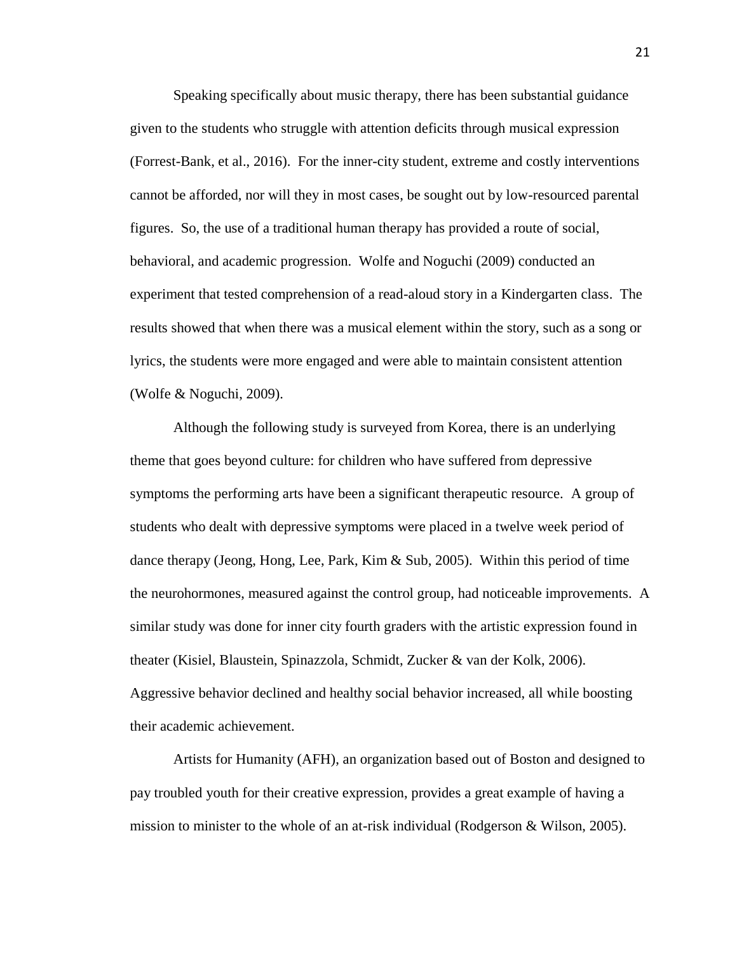Speaking specifically about music therapy, there has been substantial guidance given to the students who struggle with attention deficits through musical expression (Forrest-Bank, et al., 2016). For the inner-city student, extreme and costly interventions cannot be afforded, nor will they in most cases, be sought out by low-resourced parental figures. So, the use of a traditional human therapy has provided a route of social, behavioral, and academic progression. Wolfe and Noguchi (2009) conducted an experiment that tested comprehension of a read-aloud story in a Kindergarten class. The results showed that when there was a musical element within the story, such as a song or lyrics, the students were more engaged and were able to maintain consistent attention (Wolfe & Noguchi, 2009).

Although the following study is surveyed from Korea, there is an underlying theme that goes beyond culture: for children who have suffered from depressive symptoms the performing arts have been a significant therapeutic resource. A group of students who dealt with depressive symptoms were placed in a twelve week period of dance therapy (Jeong, Hong, Lee, Park, Kim & Sub, 2005). Within this period of time the neurohormones, measured against the control group, had noticeable improvements. A similar study was done for inner city fourth graders with the artistic expression found in theater (Kisiel, Blaustein, Spinazzola, Schmidt, Zucker & van der Kolk, 2006). Aggressive behavior declined and healthy social behavior increased, all while boosting their academic achievement.

Artists for Humanity (AFH), an organization based out of Boston and designed to pay troubled youth for their creative expression, provides a great example of having a mission to minister to the whole of an at-risk individual (Rodgerson & Wilson, 2005).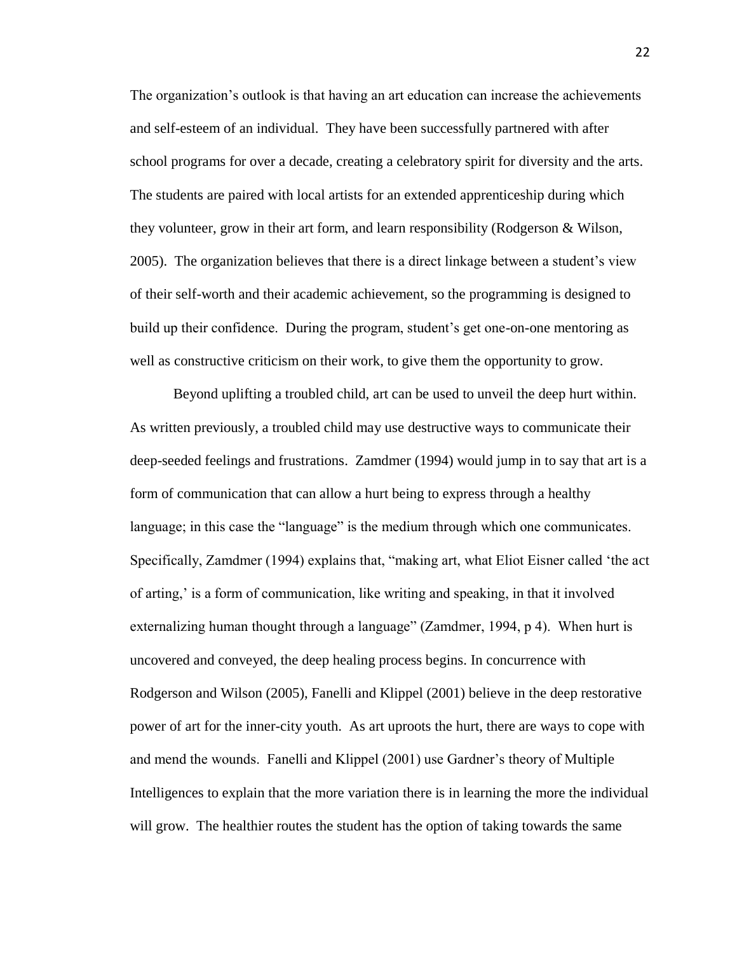The organization's outlook is that having an art education can increase the achievements and self-esteem of an individual. They have been successfully partnered with after school programs for over a decade, creating a celebratory spirit for diversity and the arts. The students are paired with local artists for an extended apprenticeship during which they volunteer, grow in their art form, and learn responsibility (Rodgerson & Wilson, 2005). The organization believes that there is a direct linkage between a student's view of their self-worth and their academic achievement, so the programming is designed to build up their confidence. During the program, student's get one-on-one mentoring as well as constructive criticism on their work, to give them the opportunity to grow.

Beyond uplifting a troubled child, art can be used to unveil the deep hurt within. As written previously, a troubled child may use destructive ways to communicate their deep-seeded feelings and frustrations. Zamdmer (1994) would jump in to say that art is a form of communication that can allow a hurt being to express through a healthy language; in this case the "language" is the medium through which one communicates. Specifically, Zamdmer (1994) explains that, "making art, what Eliot Eisner called 'the act of arting,' is a form of communication, like writing and speaking, in that it involved externalizing human thought through a language" (Zamdmer, 1994, p 4). When hurt is uncovered and conveyed, the deep healing process begins. In concurrence with Rodgerson and Wilson (2005), Fanelli and Klippel (2001) believe in the deep restorative power of art for the inner-city youth. As art uproots the hurt, there are ways to cope with and mend the wounds. Fanelli and Klippel (2001) use Gardner's theory of Multiple Intelligences to explain that the more variation there is in learning the more the individual will grow. The healthier routes the student has the option of taking towards the same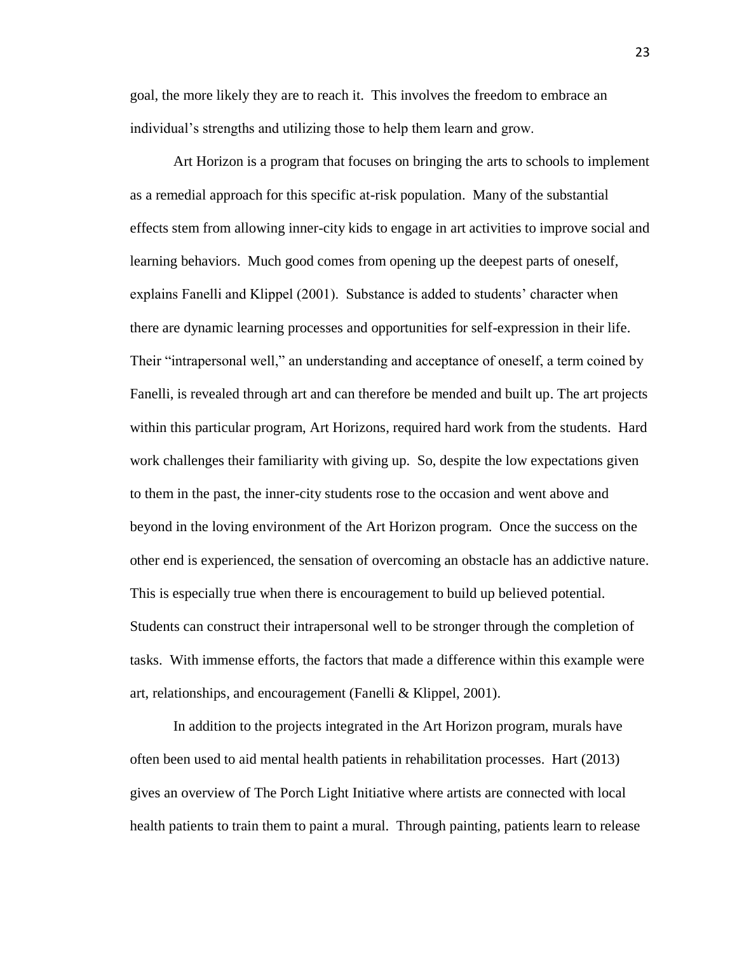goal, the more likely they are to reach it. This involves the freedom to embrace an individual's strengths and utilizing those to help them learn and grow.

Art Horizon is a program that focuses on bringing the arts to schools to implement as a remedial approach for this specific at-risk population. Many of the substantial effects stem from allowing inner-city kids to engage in art activities to improve social and learning behaviors. Much good comes from opening up the deepest parts of oneself, explains Fanelli and Klippel (2001). Substance is added to students' character when there are dynamic learning processes and opportunities for self-expression in their life. Their "intrapersonal well," an understanding and acceptance of oneself, a term coined by Fanelli, is revealed through art and can therefore be mended and built up. The art projects within this particular program, Art Horizons, required hard work from the students. Hard work challenges their familiarity with giving up. So, despite the low expectations given to them in the past, the inner-city students rose to the occasion and went above and beyond in the loving environment of the Art Horizon program. Once the success on the other end is experienced, the sensation of overcoming an obstacle has an addictive nature. This is especially true when there is encouragement to build up believed potential. Students can construct their intrapersonal well to be stronger through the completion of tasks. With immense efforts, the factors that made a difference within this example were art, relationships, and encouragement (Fanelli & Klippel, 2001).

In addition to the projects integrated in the Art Horizon program, murals have often been used to aid mental health patients in rehabilitation processes. Hart (2013) gives an overview of The Porch Light Initiative where artists are connected with local health patients to train them to paint a mural. Through painting, patients learn to release

23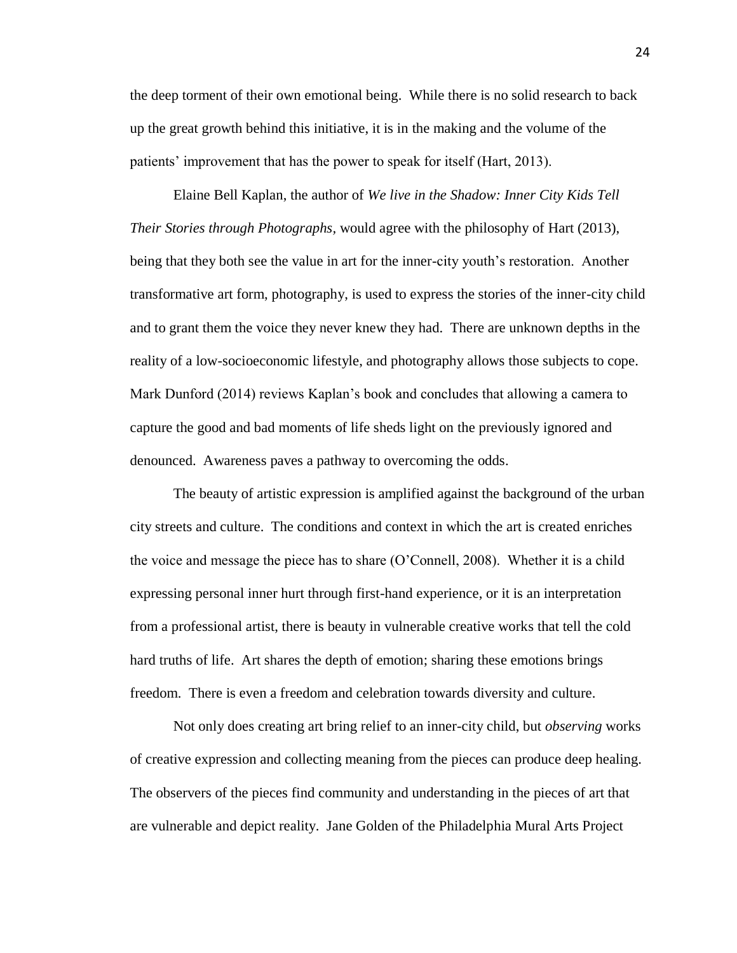the deep torment of their own emotional being. While there is no solid research to back up the great growth behind this initiative, it is in the making and the volume of the patients' improvement that has the power to speak for itself (Hart, 2013).

Elaine Bell Kaplan, the author of *We live in the Shadow: Inner City Kids Tell Their Stories through Photographs,* would agree with the philosophy of Hart (2013), being that they both see the value in art for the inner-city youth's restoration. Another transformative art form, photography, is used to express the stories of the inner-city child and to grant them the voice they never knew they had. There are unknown depths in the reality of a low-socioeconomic lifestyle, and photography allows those subjects to cope. Mark Dunford (2014) reviews Kaplan's book and concludes that allowing a camera to capture the good and bad moments of life sheds light on the previously ignored and denounced. Awareness paves a pathway to overcoming the odds.

The beauty of artistic expression is amplified against the background of the urban city streets and culture. The conditions and context in which the art is created enriches the voice and message the piece has to share (O'Connell, 2008). Whether it is a child expressing personal inner hurt through first-hand experience, or it is an interpretation from a professional artist, there is beauty in vulnerable creative works that tell the cold hard truths of life. Art shares the depth of emotion; sharing these emotions brings freedom. There is even a freedom and celebration towards diversity and culture.

Not only does creating art bring relief to an inner-city child, but *observing* works of creative expression and collecting meaning from the pieces can produce deep healing. The observers of the pieces find community and understanding in the pieces of art that are vulnerable and depict reality. Jane Golden of the Philadelphia Mural Arts Project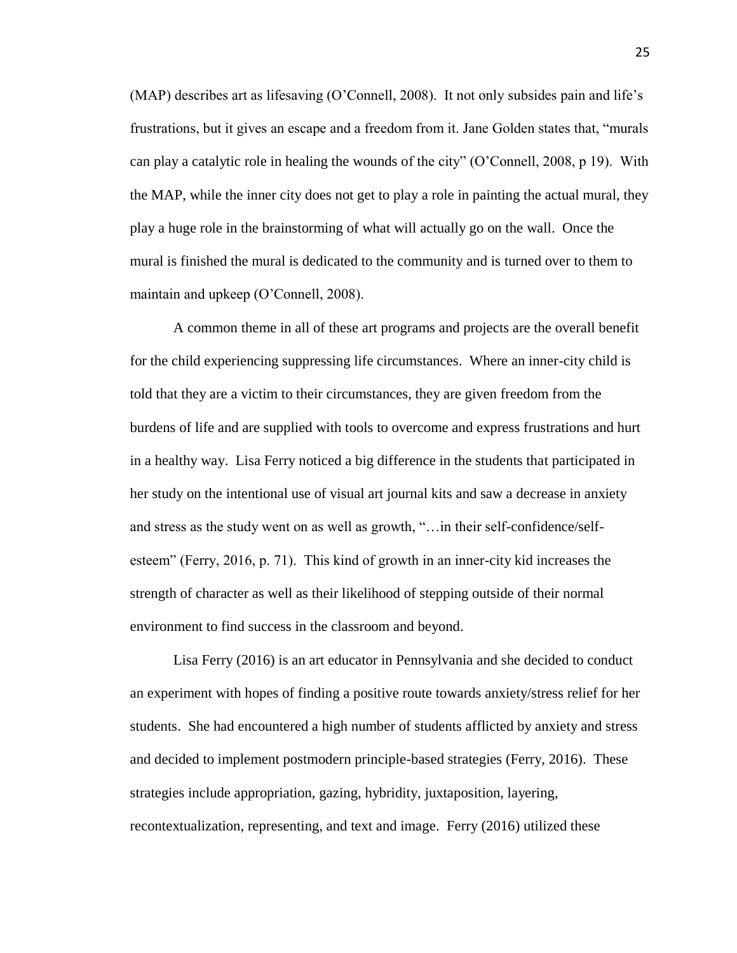(MAP) describes art as lifesaving (O'Connell, 2008). It not only subsides pain and life's frustrations, but it gives an escape and a freedom from it. Jane Golden states that, "murals can play a catalytic role in healing the wounds of the city" (O'Connell, 2008, p 19). With the MAP, while the inner city does not get to play a role in painting the actual mural, they play a huge role in the brainstorming of what will actually go on the wall. Once the mural is finished the mural is dedicated to the community and is turned over to them to maintain and upkeep (O'Connell, 2008).

A common theme in all of these art programs and projects are the overall benefit for the child experiencing suppressing life circumstances. Where an inner-city child is told that they are a victim to their circumstances, they are given freedom from the burdens of life and are supplied with tools to overcome and express frustrations and hurt in a healthy way. Lisa Ferry noticed a big difference in the students that participated in her study on the intentional use of visual art journal kits and saw a decrease in anxiety and stress as the study went on as well as growth, "…in their self-confidence/selfesteem" (Ferry, 2016, p. 71). This kind of growth in an inner-city kid increases the strength of character as well as their likelihood of stepping outside of their normal environment to find success in the classroom and beyond.

Lisa Ferry (2016) is an art educator in Pennsylvania and she decided to conduct an experiment with hopes of finding a positive route towards anxiety/stress relief for her students. She had encountered a high number of students afflicted by anxiety and stress and decided to implement postmodern principle-based strategies (Ferry, 2016). These strategies include appropriation, gazing, hybridity, juxtaposition, layering, recontextualization, representing, and text and image. Ferry (2016) utilized these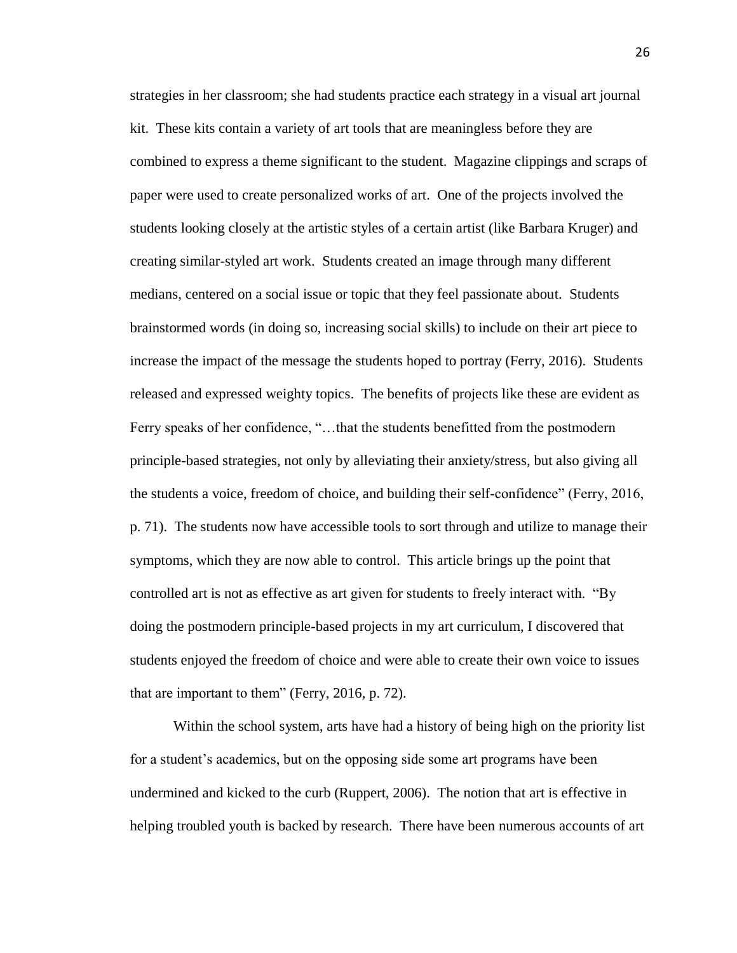strategies in her classroom; she had students practice each strategy in a visual art journal kit. These kits contain a variety of art tools that are meaningless before they are combined to express a theme significant to the student. Magazine clippings and scraps of paper were used to create personalized works of art. One of the projects involved the students looking closely at the artistic styles of a certain artist (like Barbara Kruger) and creating similar-styled art work. Students created an image through many different medians, centered on a social issue or topic that they feel passionate about. Students brainstormed words (in doing so, increasing social skills) to include on their art piece to increase the impact of the message the students hoped to portray (Ferry, 2016). Students released and expressed weighty topics. The benefits of projects like these are evident as Ferry speaks of her confidence, "…that the students benefitted from the postmodern principle-based strategies, not only by alleviating their anxiety/stress, but also giving all the students a voice, freedom of choice, and building their self-confidence" (Ferry, 2016, p. 71). The students now have accessible tools to sort through and utilize to manage their symptoms, which they are now able to control. This article brings up the point that controlled art is not as effective as art given for students to freely interact with. "By doing the postmodern principle-based projects in my art curriculum, I discovered that students enjoyed the freedom of choice and were able to create their own voice to issues that are important to them" (Ferry, 2016, p. 72).

Within the school system, arts have had a history of being high on the priority list for a student's academics, but on the opposing side some art programs have been undermined and kicked to the curb (Ruppert, 2006). The notion that art is effective in helping troubled youth is backed by research. There have been numerous accounts of art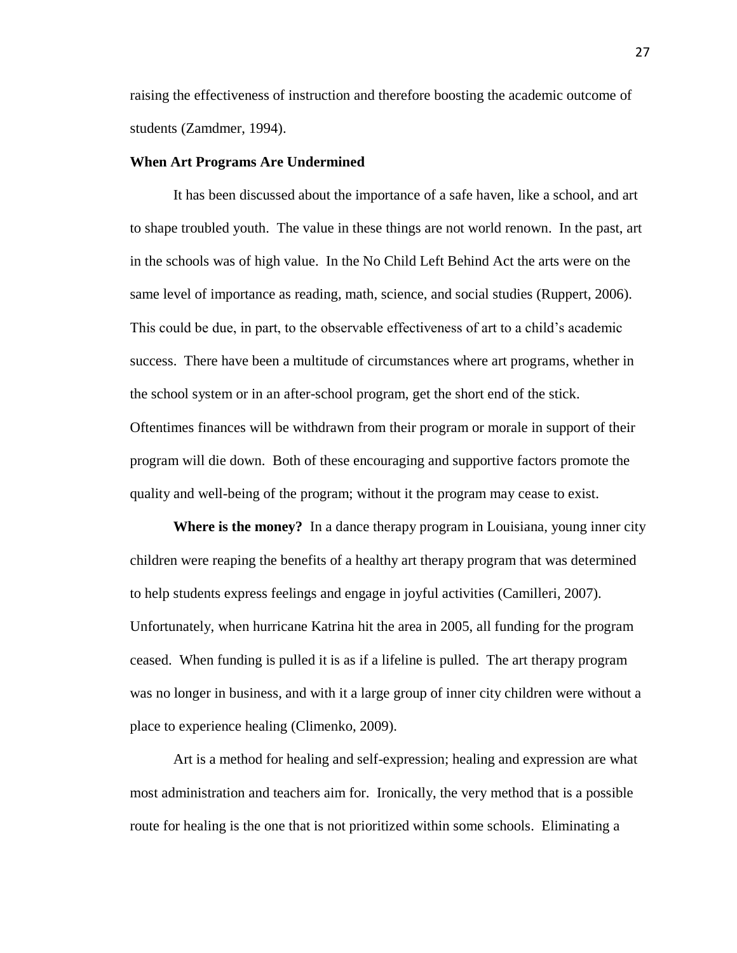raising the effectiveness of instruction and therefore boosting the academic outcome of students (Zamdmer, 1994).

#### **When Art Programs Are Undermined**

It has been discussed about the importance of a safe haven, like a school, and art to shape troubled youth. The value in these things are not world renown. In the past, art in the schools was of high value. In the No Child Left Behind Act the arts were on the same level of importance as reading, math, science, and social studies (Ruppert, 2006). This could be due, in part, to the observable effectiveness of art to a child's academic success. There have been a multitude of circumstances where art programs, whether in the school system or in an after-school program, get the short end of the stick. Oftentimes finances will be withdrawn from their program or morale in support of their program will die down. Both of these encouraging and supportive factors promote the quality and well-being of the program; without it the program may cease to exist.

**Where is the money?**In a dance therapy program in Louisiana, young inner city children were reaping the benefits of a healthy art therapy program that was determined to help students express feelings and engage in joyful activities (Camilleri, 2007). Unfortunately, when hurricane Katrina hit the area in 2005, all funding for the program ceased. When funding is pulled it is as if a lifeline is pulled. The art therapy program was no longer in business, and with it a large group of inner city children were without a place to experience healing (Climenko, 2009).

Art is a method for healing and self-expression; healing and expression are what most administration and teachers aim for. Ironically, the very method that is a possible route for healing is the one that is not prioritized within some schools. Eliminating a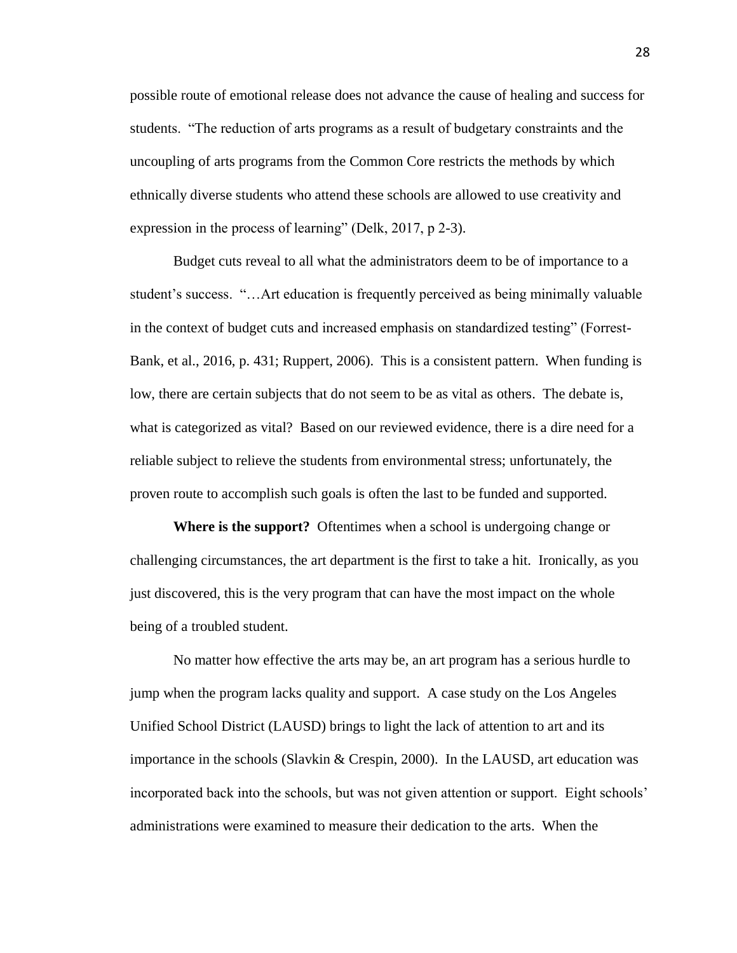possible route of emotional release does not advance the cause of healing and success for students. "The reduction of arts programs as a result of budgetary constraints and the uncoupling of arts programs from the Common Core restricts the methods by which ethnically diverse students who attend these schools are allowed to use creativity and expression in the process of learning" (Delk, 2017, p 2-3).

Budget cuts reveal to all what the administrators deem to be of importance to a student's success. "…Art education is frequently perceived as being minimally valuable in the context of budget cuts and increased emphasis on standardized testing" (Forrest-Bank, et al., 2016, p. 431; Ruppert, 2006). This is a consistent pattern. When funding is low, there are certain subjects that do not seem to be as vital as others. The debate is, what is categorized as vital? Based on our reviewed evidence, there is a dire need for a reliable subject to relieve the students from environmental stress; unfortunately, the proven route to accomplish such goals is often the last to be funded and supported.

**Where is the support?** Oftentimes when a school is undergoing change or challenging circumstances, the art department is the first to take a hit. Ironically, as you just discovered, this is the very program that can have the most impact on the whole being of a troubled student.

No matter how effective the arts may be, an art program has a serious hurdle to jump when the program lacks quality and support. A case study on the Los Angeles Unified School District (LAUSD) brings to light the lack of attention to art and its importance in the schools (Slavkin & Crespin, 2000). In the LAUSD, art education was incorporated back into the schools, but was not given attention or support. Eight schools' administrations were examined to measure their dedication to the arts. When the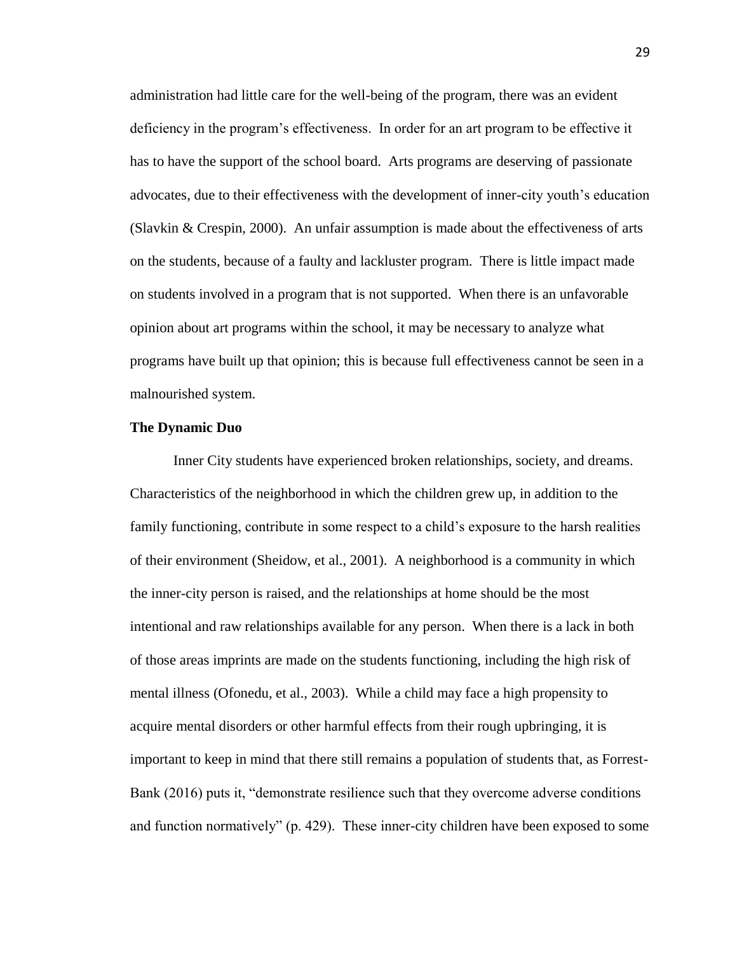administration had little care for the well-being of the program, there was an evident deficiency in the program's effectiveness. In order for an art program to be effective it has to have the support of the school board. Arts programs are deserving of passionate advocates, due to their effectiveness with the development of inner-city youth's education (Slavkin & Crespin, 2000). An unfair assumption is made about the effectiveness of arts on the students, because of a faulty and lackluster program. There is little impact made on students involved in a program that is not supported. When there is an unfavorable opinion about art programs within the school, it may be necessary to analyze what programs have built up that opinion; this is because full effectiveness cannot be seen in a malnourished system.

#### **The Dynamic Duo**

Inner City students have experienced broken relationships, society, and dreams. Characteristics of the neighborhood in which the children grew up, in addition to the family functioning, contribute in some respect to a child's exposure to the harsh realities of their environment (Sheidow, et al., 2001). A neighborhood is a community in which the inner-city person is raised, and the relationships at home should be the most intentional and raw relationships available for any person. When there is a lack in both of those areas imprints are made on the students functioning, including the high risk of mental illness (Ofonedu, et al., 2003). While a child may face a high propensity to acquire mental disorders or other harmful effects from their rough upbringing, it is important to keep in mind that there still remains a population of students that, as Forrest-Bank (2016) puts it, "demonstrate resilience such that they overcome adverse conditions and function normatively" (p. 429). These inner-city children have been exposed to some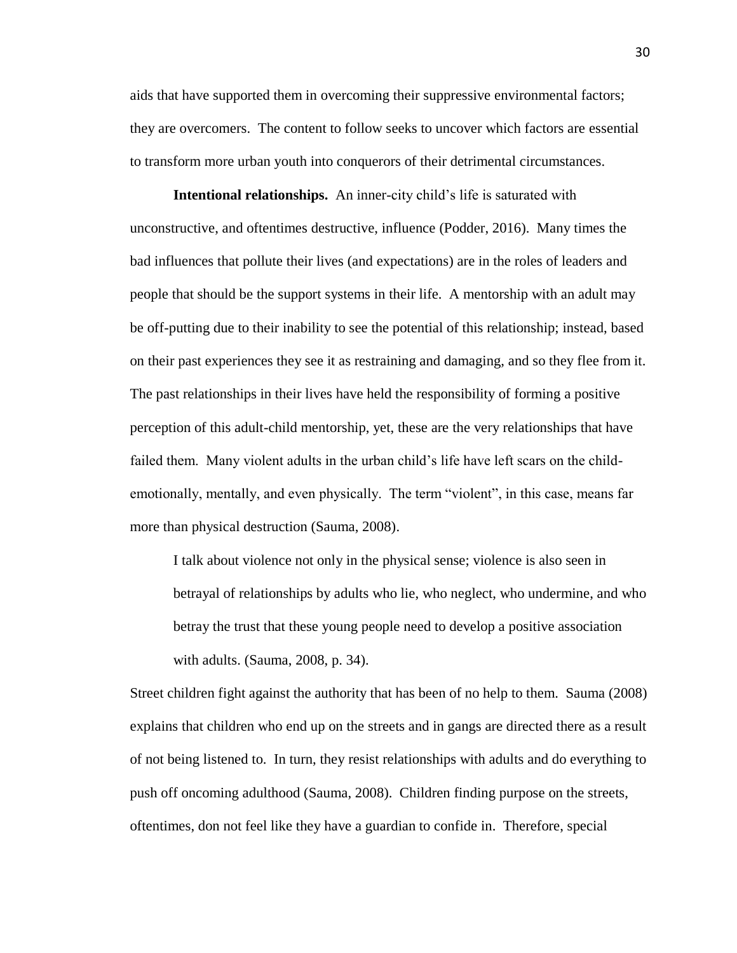aids that have supported them in overcoming their suppressive environmental factors; they are overcomers. The content to follow seeks to uncover which factors are essential to transform more urban youth into conquerors of their detrimental circumstances.

**Intentional relationships.** An inner-city child's life is saturated with unconstructive, and oftentimes destructive, influence (Podder, 2016). Many times the bad influences that pollute their lives (and expectations) are in the roles of leaders and people that should be the support systems in their life. A mentorship with an adult may be off-putting due to their inability to see the potential of this relationship; instead, based on their past experiences they see it as restraining and damaging, and so they flee from it. The past relationships in their lives have held the responsibility of forming a positive perception of this adult-child mentorship, yet, these are the very relationships that have failed them. Many violent adults in the urban child's life have left scars on the childemotionally, mentally, and even physically. The term "violent", in this case, means far more than physical destruction (Sauma, 2008).

I talk about violence not only in the physical sense; violence is also seen in betrayal of relationships by adults who lie, who neglect, who undermine, and who betray the trust that these young people need to develop a positive association with adults. (Sauma, 2008, p. 34).

Street children fight against the authority that has been of no help to them. Sauma (2008) explains that children who end up on the streets and in gangs are directed there as a result of not being listened to. In turn, they resist relationships with adults and do everything to push off oncoming adulthood (Sauma, 2008). Children finding purpose on the streets, oftentimes, don not feel like they have a guardian to confide in. Therefore, special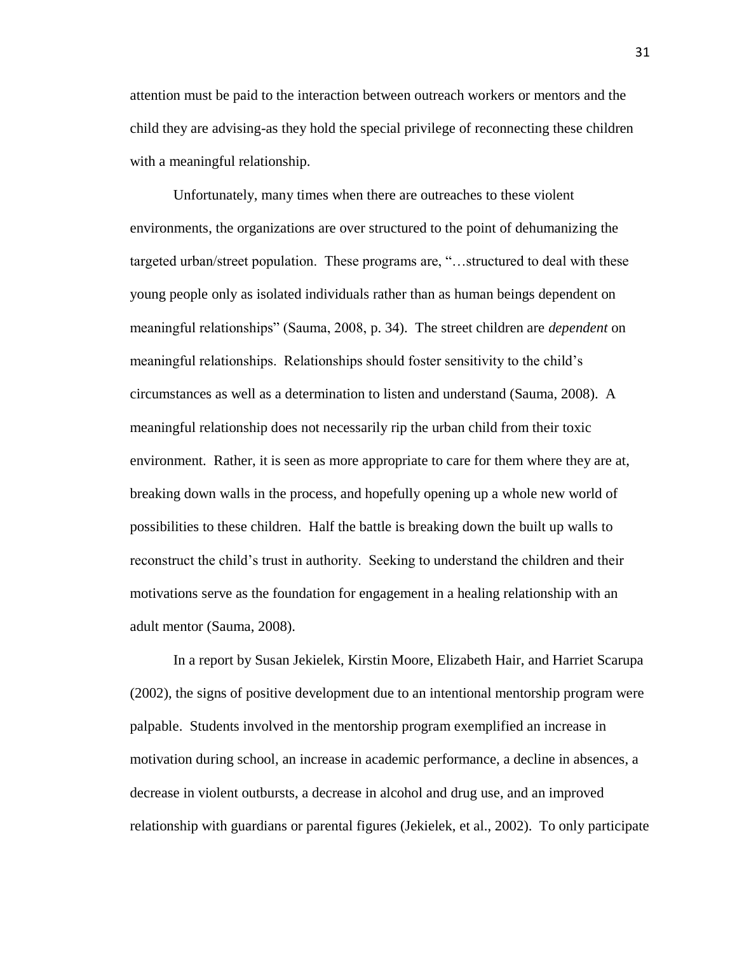attention must be paid to the interaction between outreach workers or mentors and the child they are advising-as they hold the special privilege of reconnecting these children with a meaningful relationship.

Unfortunately, many times when there are outreaches to these violent environments, the organizations are over structured to the point of dehumanizing the targeted urban/street population. These programs are, "…structured to deal with these young people only as isolated individuals rather than as human beings dependent on meaningful relationships" (Sauma, 2008, p. 34). The street children are *dependent* on meaningful relationships. Relationships should foster sensitivity to the child's circumstances as well as a determination to listen and understand (Sauma, 2008). A meaningful relationship does not necessarily rip the urban child from their toxic environment. Rather, it is seen as more appropriate to care for them where they are at, breaking down walls in the process, and hopefully opening up a whole new world of possibilities to these children. Half the battle is breaking down the built up walls to reconstruct the child's trust in authority. Seeking to understand the children and their motivations serve as the foundation for engagement in a healing relationship with an adult mentor (Sauma, 2008).

In a report by Susan Jekielek, Kirstin Moore, Elizabeth Hair, and Harriet Scarupa (2002), the signs of positive development due to an intentional mentorship program were palpable. Students involved in the mentorship program exemplified an increase in motivation during school, an increase in academic performance, a decline in absences, a decrease in violent outbursts, a decrease in alcohol and drug use, and an improved relationship with guardians or parental figures (Jekielek, et al., 2002). To only participate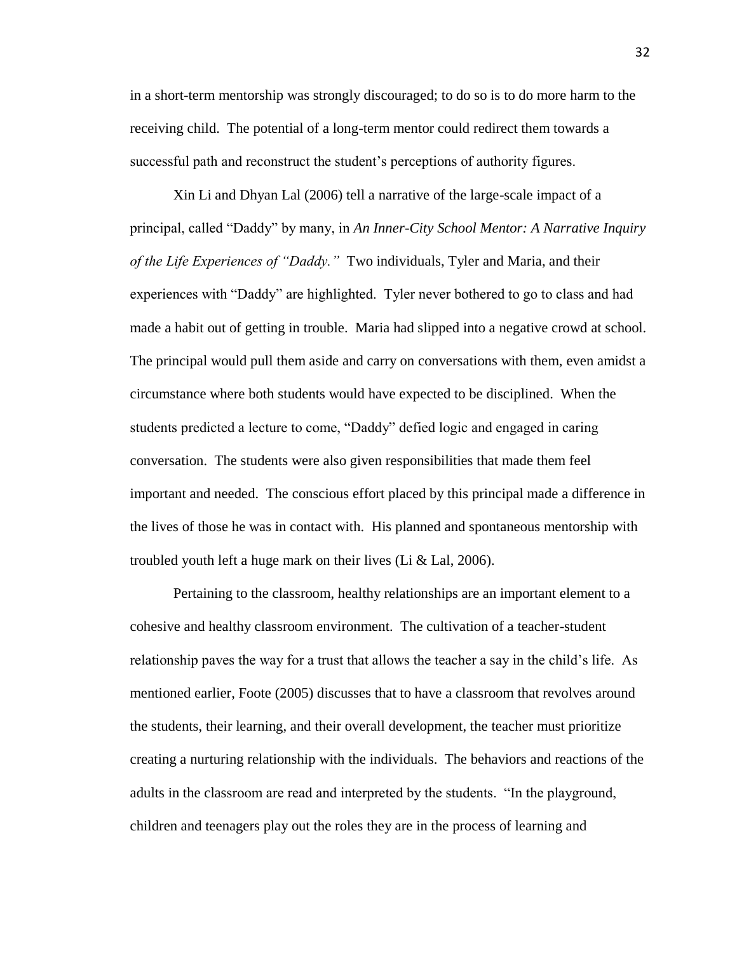in a short-term mentorship was strongly discouraged; to do so is to do more harm to the receiving child. The potential of a long-term mentor could redirect them towards a successful path and reconstruct the student's perceptions of authority figures.

Xin Li and Dhyan Lal (2006) tell a narrative of the large-scale impact of a principal, called "Daddy" by many, in *An Inner-City School Mentor: A Narrative Inquiry of the Life Experiences of "Daddy."* Two individuals, Tyler and Maria, and their experiences with "Daddy" are highlighted. Tyler never bothered to go to class and had made a habit out of getting in trouble. Maria had slipped into a negative crowd at school. The principal would pull them aside and carry on conversations with them, even amidst a circumstance where both students would have expected to be disciplined. When the students predicted a lecture to come, "Daddy" defied logic and engaged in caring conversation. The students were also given responsibilities that made them feel important and needed. The conscious effort placed by this principal made a difference in the lives of those he was in contact with. His planned and spontaneous mentorship with troubled youth left a huge mark on their lives (Li & Lal, 2006).

Pertaining to the classroom, healthy relationships are an important element to a cohesive and healthy classroom environment. The cultivation of a teacher-student relationship paves the way for a trust that allows the teacher a say in the child's life. As mentioned earlier, Foote (2005) discusses that to have a classroom that revolves around the students, their learning, and their overall development, the teacher must prioritize creating a nurturing relationship with the individuals. The behaviors and reactions of the adults in the classroom are read and interpreted by the students. "In the playground, children and teenagers play out the roles they are in the process of learning and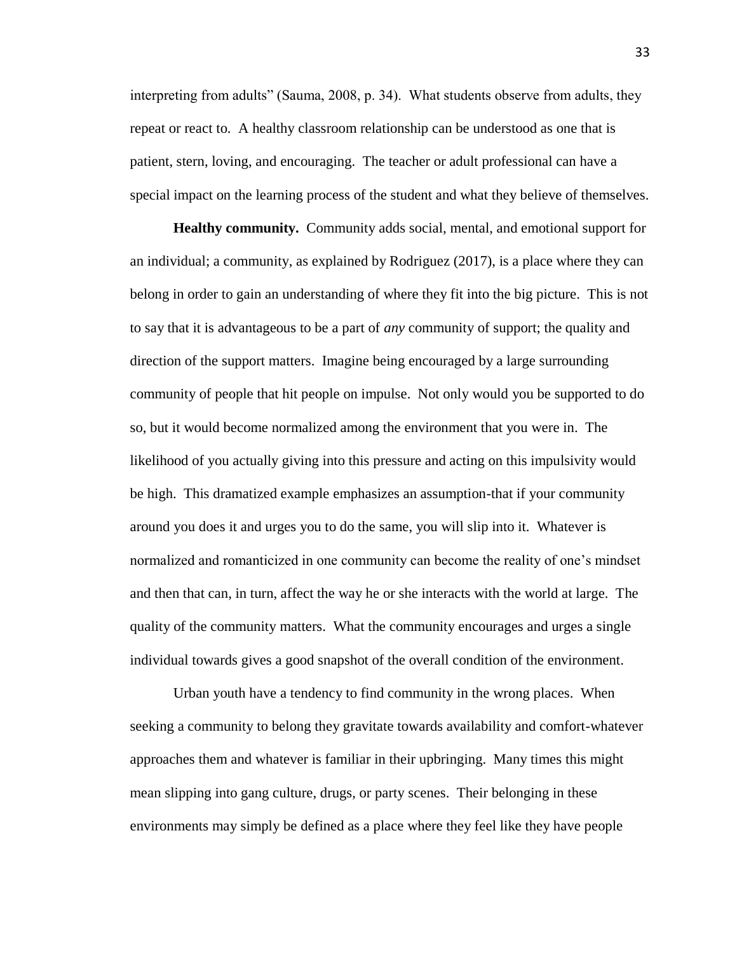interpreting from adults" (Sauma, 2008, p. 34). What students observe from adults, they repeat or react to. A healthy classroom relationship can be understood as one that is patient, stern, loving, and encouraging. The teacher or adult professional can have a special impact on the learning process of the student and what they believe of themselves.

**Healthy community.** Community adds social, mental, and emotional support for an individual; a community, as explained by Rodriguez (2017), is a place where they can belong in order to gain an understanding of where they fit into the big picture. This is not to say that it is advantageous to be a part of *any* community of support; the quality and direction of the support matters. Imagine being encouraged by a large surrounding community of people that hit people on impulse. Not only would you be supported to do so, but it would become normalized among the environment that you were in. The likelihood of you actually giving into this pressure and acting on this impulsivity would be high. This dramatized example emphasizes an assumption-that if your community around you does it and urges you to do the same, you will slip into it. Whatever is normalized and romanticized in one community can become the reality of one's mindset and then that can, in turn, affect the way he or she interacts with the world at large. The quality of the community matters. What the community encourages and urges a single individual towards gives a good snapshot of the overall condition of the environment.

Urban youth have a tendency to find community in the wrong places. When seeking a community to belong they gravitate towards availability and comfort-whatever approaches them and whatever is familiar in their upbringing. Many times this might mean slipping into gang culture, drugs, or party scenes. Their belonging in these environments may simply be defined as a place where they feel like they have people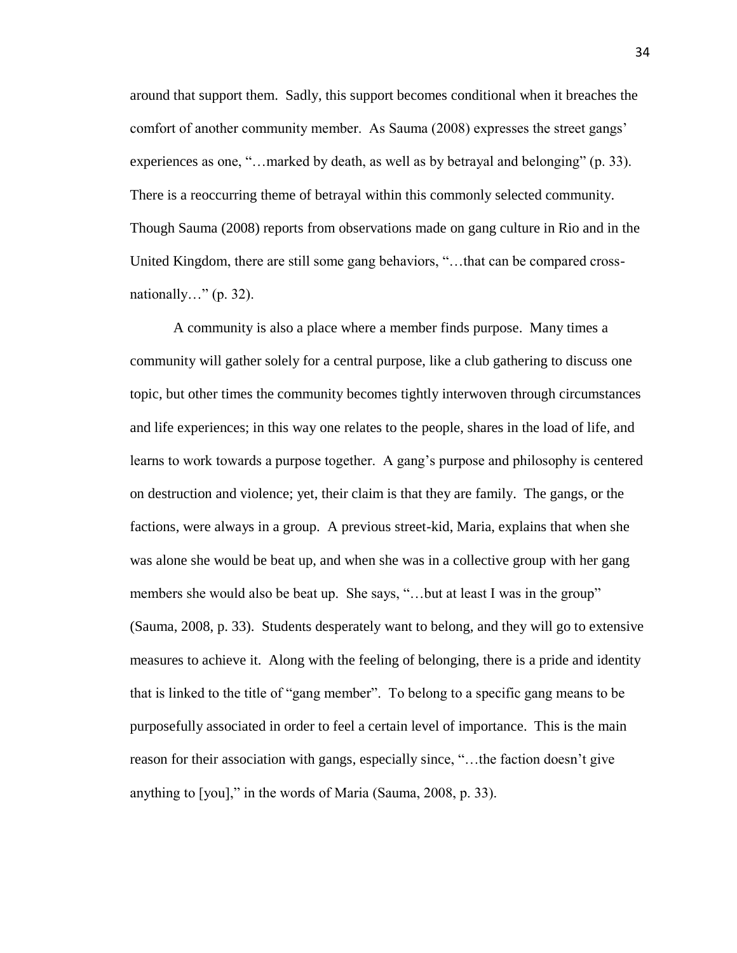around that support them. Sadly, this support becomes conditional when it breaches the comfort of another community member. As Sauma (2008) expresses the street gangs' experiences as one, "...marked by death, as well as by betrayal and belonging" (p. 33). There is a reoccurring theme of betrayal within this commonly selected community. Though Sauma (2008) reports from observations made on gang culture in Rio and in the United Kingdom, there are still some gang behaviors, "…that can be compared crossnationally..."  $(p. 32)$ .

A community is also a place where a member finds purpose. Many times a community will gather solely for a central purpose, like a club gathering to discuss one topic, but other times the community becomes tightly interwoven through circumstances and life experiences; in this way one relates to the people, shares in the load of life, and learns to work towards a purpose together. A gang's purpose and philosophy is centered on destruction and violence; yet, their claim is that they are family. The gangs, or the factions, were always in a group. A previous street-kid, Maria, explains that when she was alone she would be beat up, and when she was in a collective group with her gang members she would also be beat up. She says, "...but at least I was in the group" (Sauma, 2008, p. 33). Students desperately want to belong, and they will go to extensive measures to achieve it. Along with the feeling of belonging, there is a pride and identity that is linked to the title of "gang member". To belong to a specific gang means to be purposefully associated in order to feel a certain level of importance. This is the main reason for their association with gangs, especially since, "…the faction doesn't give anything to [you]," in the words of Maria (Sauma, 2008, p. 33).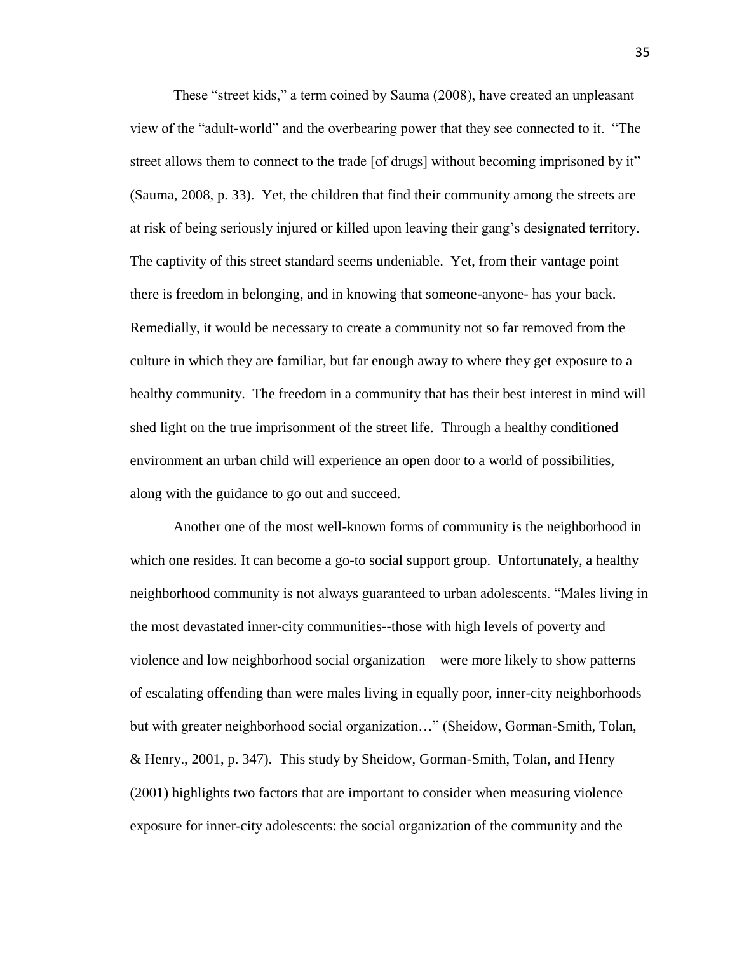These "street kids," a term coined by Sauma (2008), have created an unpleasant view of the "adult-world" and the overbearing power that they see connected to it. "The street allows them to connect to the trade [of drugs] without becoming imprisoned by it" (Sauma, 2008, p. 33). Yet, the children that find their community among the streets are at risk of being seriously injured or killed upon leaving their gang's designated territory. The captivity of this street standard seems undeniable. Yet, from their vantage point there is freedom in belonging, and in knowing that someone-anyone- has your back. Remedially, it would be necessary to create a community not so far removed from the culture in which they are familiar, but far enough away to where they get exposure to a healthy community. The freedom in a community that has their best interest in mind will shed light on the true imprisonment of the street life. Through a healthy conditioned environment an urban child will experience an open door to a world of possibilities, along with the guidance to go out and succeed.

Another one of the most well-known forms of community is the neighborhood in which one resides. It can become a go-to social support group. Unfortunately, a healthy neighborhood community is not always guaranteed to urban adolescents. "Males living in the most devastated inner-city communities--those with high levels of poverty and violence and low neighborhood social organization—were more likely to show patterns of escalating offending than were males living in equally poor, inner-city neighborhoods but with greater neighborhood social organization…" (Sheidow, Gorman-Smith, Tolan, & Henry., 2001, p. 347). This study by Sheidow, Gorman-Smith, Tolan, and Henry (2001) highlights two factors that are important to consider when measuring violence exposure for inner-city adolescents: the social organization of the community and the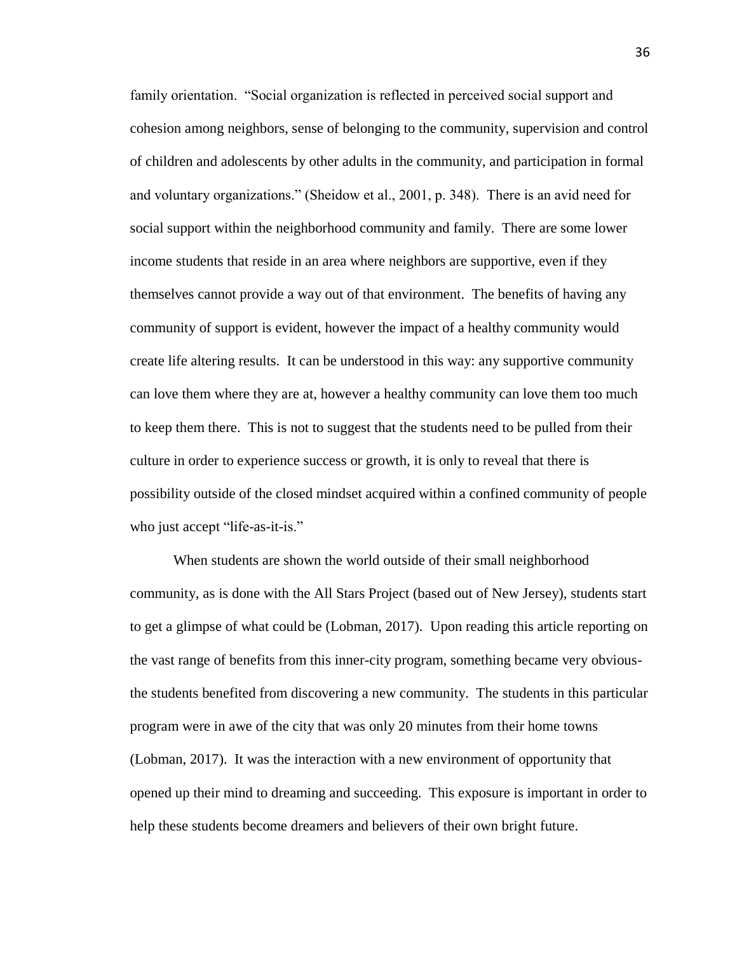family orientation. "Social organization is reflected in perceived social support and cohesion among neighbors, sense of belonging to the community, supervision and control of children and adolescents by other adults in the community, and participation in formal and voluntary organizations." (Sheidow et al., 2001, p. 348). There is an avid need for social support within the neighborhood community and family. There are some lower income students that reside in an area where neighbors are supportive, even if they themselves cannot provide a way out of that environment. The benefits of having any community of support is evident, however the impact of a healthy community would create life altering results. It can be understood in this way: any supportive community can love them where they are at, however a healthy community can love them too much to keep them there. This is not to suggest that the students need to be pulled from their culture in order to experience success or growth, it is only to reveal that there is possibility outside of the closed mindset acquired within a confined community of people who just accept "life-as-it-is."

When students are shown the world outside of their small neighborhood community, as is done with the All Stars Project (based out of New Jersey), students start to get a glimpse of what could be (Lobman, 2017). Upon reading this article reporting on the vast range of benefits from this inner-city program, something became very obviousthe students benefited from discovering a new community. The students in this particular program were in awe of the city that was only 20 minutes from their home towns (Lobman, 2017). It was the interaction with a new environment of opportunity that opened up their mind to dreaming and succeeding. This exposure is important in order to help these students become dreamers and believers of their own bright future.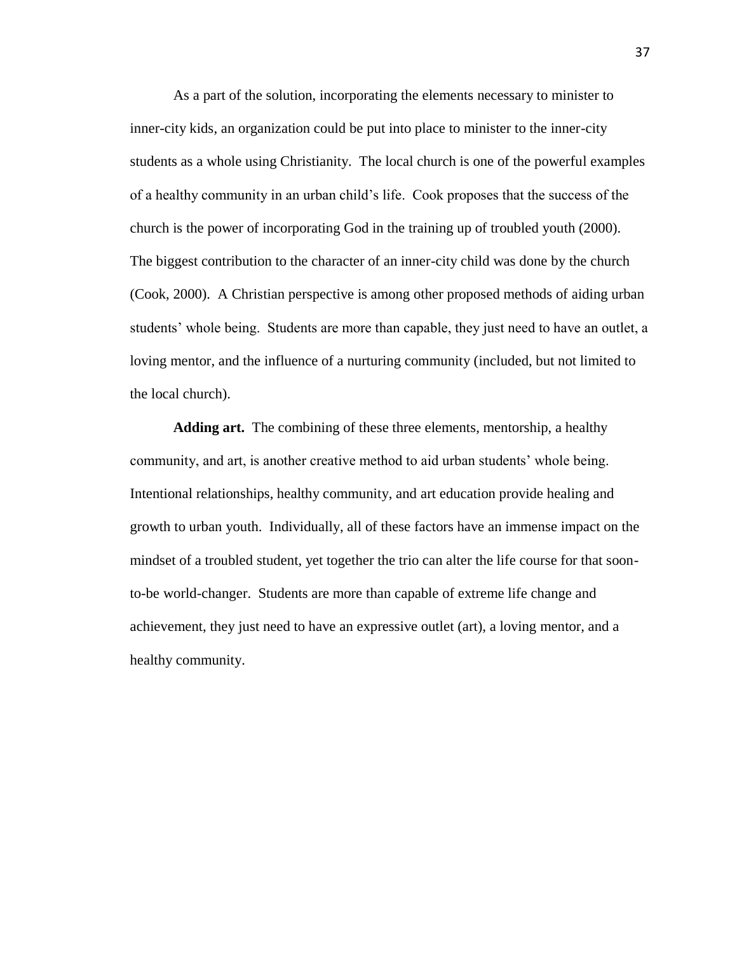As a part of the solution, incorporating the elements necessary to minister to inner-city kids, an organization could be put into place to minister to the inner-city students as a whole using Christianity. The local church is one of the powerful examples of a healthy community in an urban child's life. Cook proposes that the success of the church is the power of incorporating God in the training up of troubled youth (2000). The biggest contribution to the character of an inner-city child was done by the church (Cook, 2000). A Christian perspective is among other proposed methods of aiding urban students' whole being. Students are more than capable, they just need to have an outlet, a loving mentor, and the influence of a nurturing community (included, but not limited to the local church).

**Adding art.** The combining of these three elements, mentorship, a healthy community, and art, is another creative method to aid urban students' whole being. Intentional relationships, healthy community, and art education provide healing and growth to urban youth. Individually, all of these factors have an immense impact on the mindset of a troubled student, yet together the trio can alter the life course for that soonto-be world-changer. Students are more than capable of extreme life change and achievement, they just need to have an expressive outlet (art), a loving mentor, and a healthy community.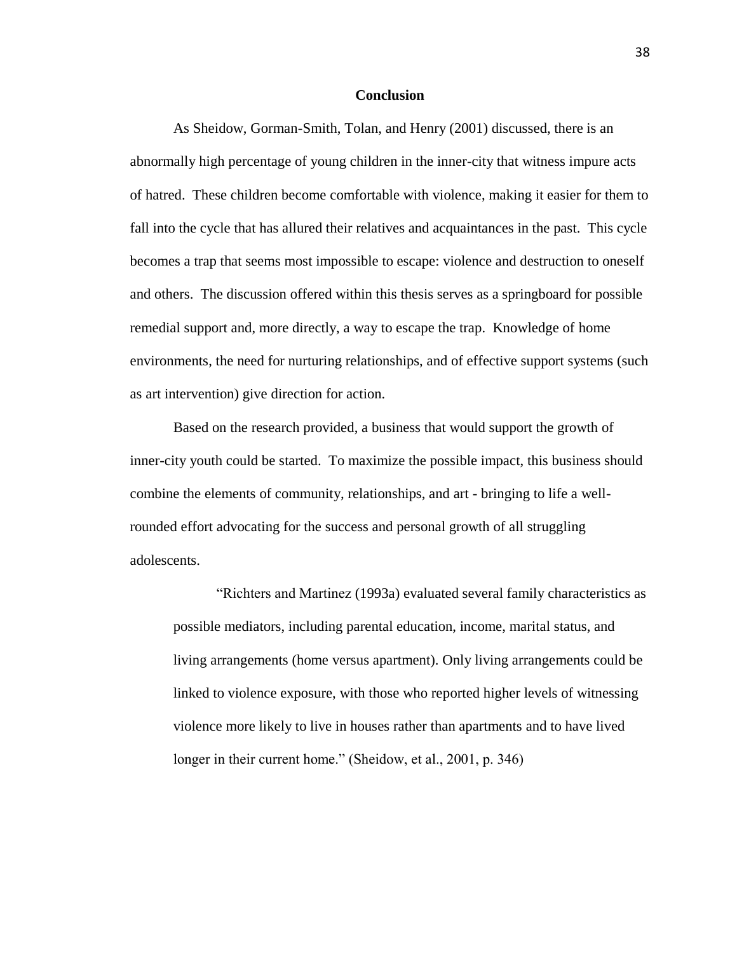#### **Conclusion**

As Sheidow, Gorman-Smith, Tolan, and Henry (2001) discussed, there is an abnormally high percentage of young children in the inner-city that witness impure acts of hatred. These children become comfortable with violence, making it easier for them to fall into the cycle that has allured their relatives and acquaintances in the past. This cycle becomes a trap that seems most impossible to escape: violence and destruction to oneself and others. The discussion offered within this thesis serves as a springboard for possible remedial support and, more directly, a way to escape the trap. Knowledge of home environments, the need for nurturing relationships, and of effective support systems (such as art intervention) give direction for action.

Based on the research provided, a business that would support the growth of inner-city youth could be started. To maximize the possible impact, this business should combine the elements of community, relationships, and art - bringing to life a wellrounded effort advocating for the success and personal growth of all struggling adolescents.

"Richters and Martinez (1993a) evaluated several family characteristics as possible mediators, including parental education, income, marital status, and living arrangements (home versus apartment). Only living arrangements could be linked to violence exposure, with those who reported higher levels of witnessing violence more likely to live in houses rather than apartments and to have lived longer in their current home." (Sheidow, et al., 2001, p. 346)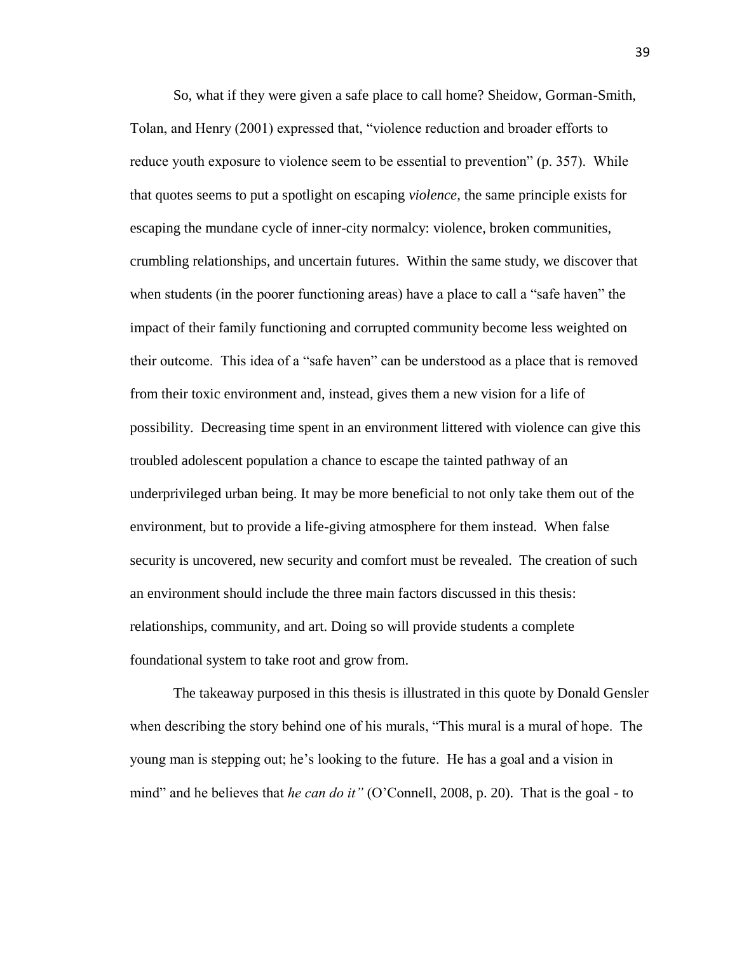So, what if they were given a safe place to call home? Sheidow, Gorman-Smith, Tolan, and Henry (2001) expressed that, "violence reduction and broader efforts to reduce youth exposure to violence seem to be essential to prevention" (p. 357). While that quotes seems to put a spotlight on escaping *violence,* the same principle exists for escaping the mundane cycle of inner-city normalcy: violence, broken communities, crumbling relationships, and uncertain futures. Within the same study, we discover that when students (in the poorer functioning areas) have a place to call a "safe haven" the impact of their family functioning and corrupted community become less weighted on their outcome. This idea of a "safe haven" can be understood as a place that is removed from their toxic environment and, instead, gives them a new vision for a life of possibility. Decreasing time spent in an environment littered with violence can give this troubled adolescent population a chance to escape the tainted pathway of an underprivileged urban being. It may be more beneficial to not only take them out of the environment, but to provide a life-giving atmosphere for them instead. When false security is uncovered, new security and comfort must be revealed. The creation of such an environment should include the three main factors discussed in this thesis: relationships, community, and art. Doing so will provide students a complete foundational system to take root and grow from.

The takeaway purposed in this thesis is illustrated in this quote by Donald Gensler when describing the story behind one of his murals, "This mural is a mural of hope. The young man is stepping out; he's looking to the future. He has a goal and a vision in mind" and he believes that *he can do it*" (O'Connell, 2008, p. 20). That is the goal - to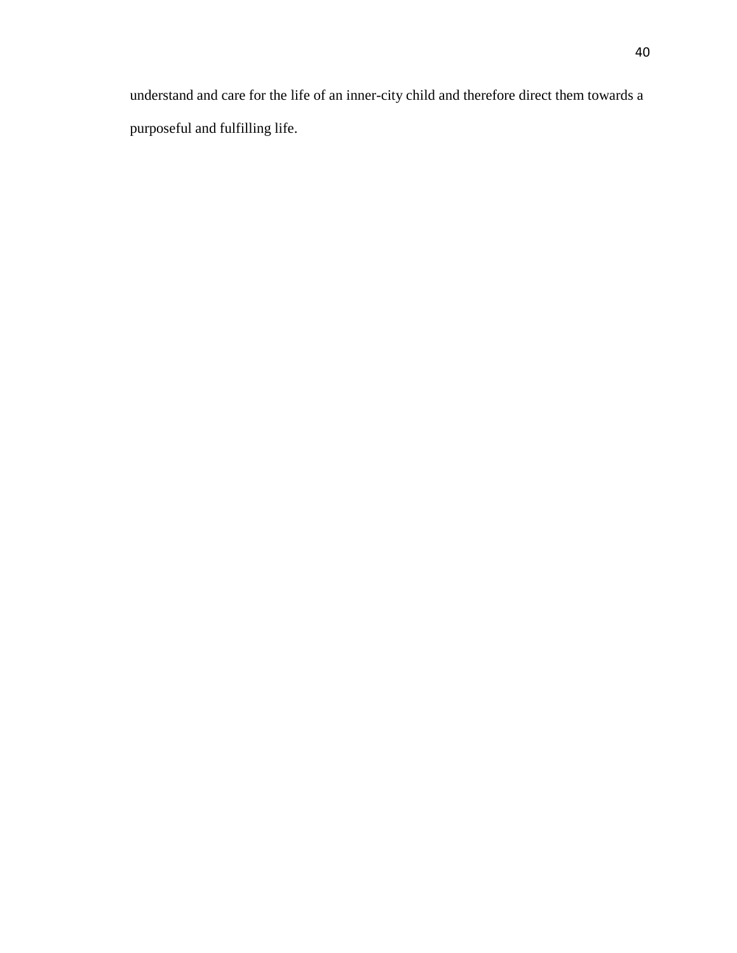understand and care for the life of an inner-city child and therefore direct them towards a purposeful and fulfilling life.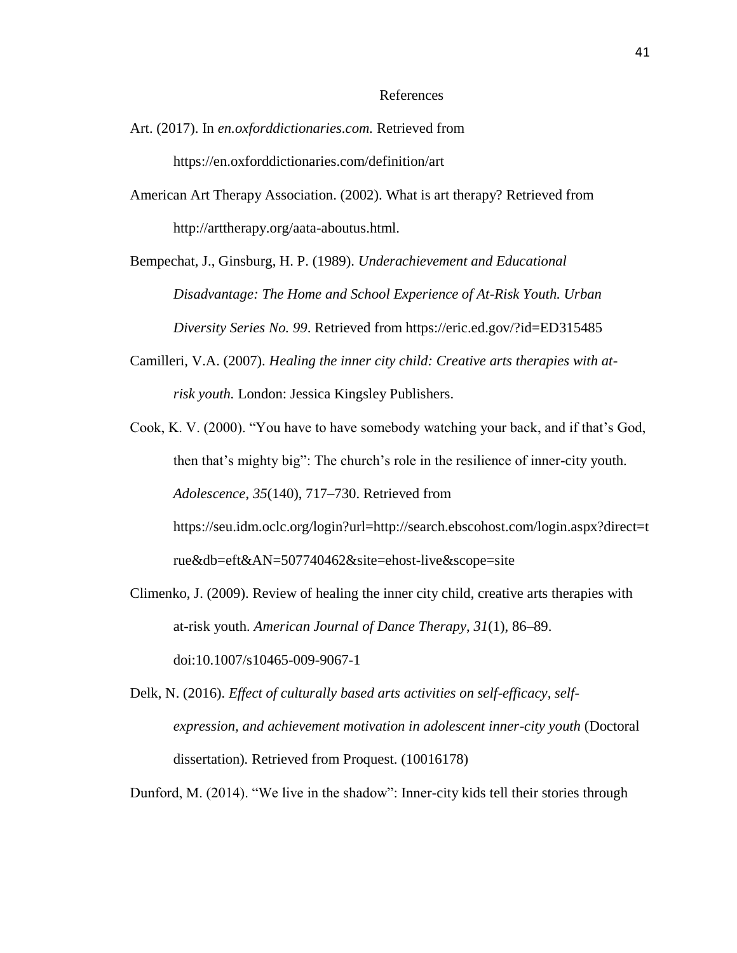#### References

- Art. (2017). In *en.oxforddictionaries.com.* Retrieved from https://en.oxforddictionaries.com/definition/art
- American Art Therapy Association. (2002). What is art therapy? Retrieved from http://arttherapy.org/aata-aboutus.html.

Bempechat, J., Ginsburg, H. P. (1989). *Underachievement and Educational Disadvantage: The Home and School Experience of At-Risk Youth. Urban Diversity Series No. 99*. Retrieved from https://eric.ed.gov/?id=ED315485

Camilleri, V.A. (2007). *Healing the inner city child: Creative arts therapies with atrisk youth.* London: Jessica Kingsley Publishers.

Cook, K. V. (2000). "You have to have somebody watching your back, and if that's God, then that's mighty big": The church's role in the resilience of inner-city youth. *Adolescence*, *35*(140), 717–730. Retrieved from https://seu.idm.oclc.org/login?url=http://search.ebscohost.com/login.aspx?direct=t rue&db=eft&AN=507740462&site=ehost-live&scope=site

- Climenko, J. (2009). Review of healing the inner city child, creative arts therapies with at-risk youth. *American Journal of Dance Therapy*, *31*(1), 86–89. doi:10.1007/s10465-009-9067-1
- Delk, N. (2016). *Effect of culturally based arts activities on self-efficacy, selfexpression, and achievement motivation in adolescent inner-city youth* (Doctoral dissertation)*.* Retrieved from Proquest. (10016178)

Dunford, M. (2014). "We live in the shadow": Inner-city kids tell their stories through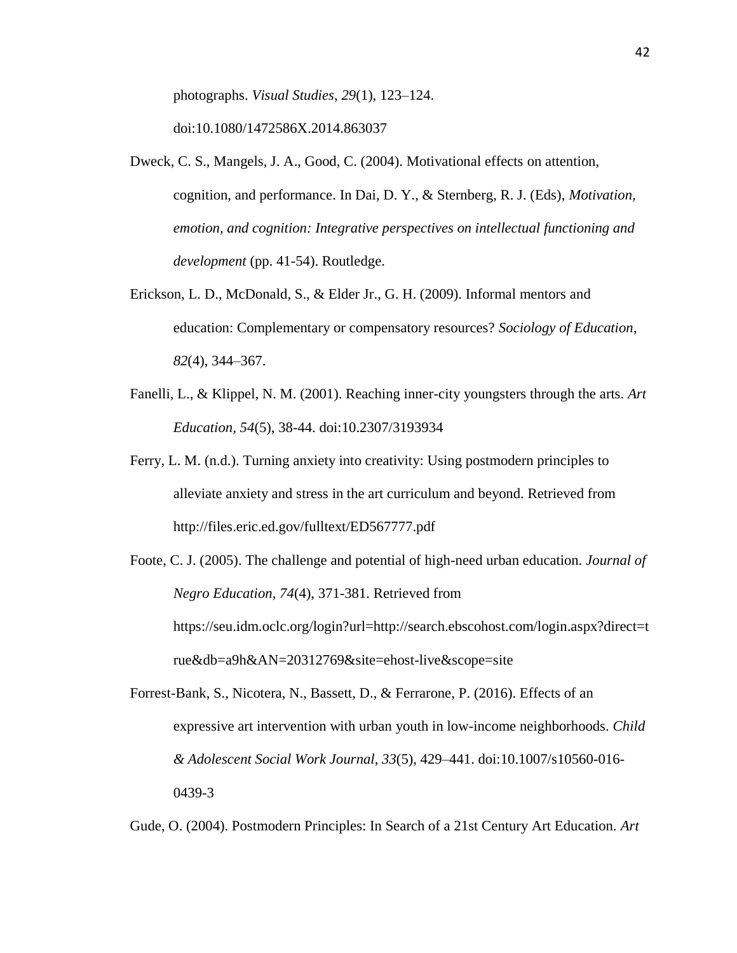photographs. *Visual Studies*, *29*(1), 123–124.

doi:10.1080/1472586X.2014.863037

- Dweck, C. S., Mangels, J. A., Good, C. (2004). Motivational effects on attention, cognition, and performance. In Dai, D. Y., & Sternberg, R. J. (Eds), *Motivation, emotion, and cognition: Integrative perspectives on intellectual functioning and development* (pp. 41-54). Routledge.
- Erickson, L. D., McDonald, S., & Elder Jr., G. H. (2009). Informal mentors and education: Complementary or compensatory resources? *Sociology of Education*, *82*(4), 344–367.
- Fanelli, L., & Klippel, N. M. (2001). Reaching inner-city youngsters through the arts. *Art Education, 54*(5), 38-44. doi:10.2307/3193934
- Ferry, L. M. (n.d.). Turning anxiety into creativity: Using postmodern principles to alleviate anxiety and stress in the art curriculum and beyond. Retrieved from http://files.eric.ed.gov/fulltext/ED567777.pdf
- Foote, C. J. (2005). The challenge and potential of high-need urban education. *Journal of Negro Education, 74*(4), 371-381. Retrieved from https://seu.idm.oclc.org/login?url=http://search.ebscohost.com/login.aspx?direct=t rue&db=a9h&AN=20312769&site=ehost-live&scope=site
- Forrest-Bank, S., Nicotera, N., Bassett, D., & Ferrarone, P. (2016). Effects of an expressive art intervention with urban youth in low-income neighborhoods. *Child & Adolescent Social Work Journal*, *33*(5), 429–441. doi:10.1007/s10560-016- 0439-3

Gude, O. (2004). Postmodern Principles: In Search of a 21st Century Art Education. *Art*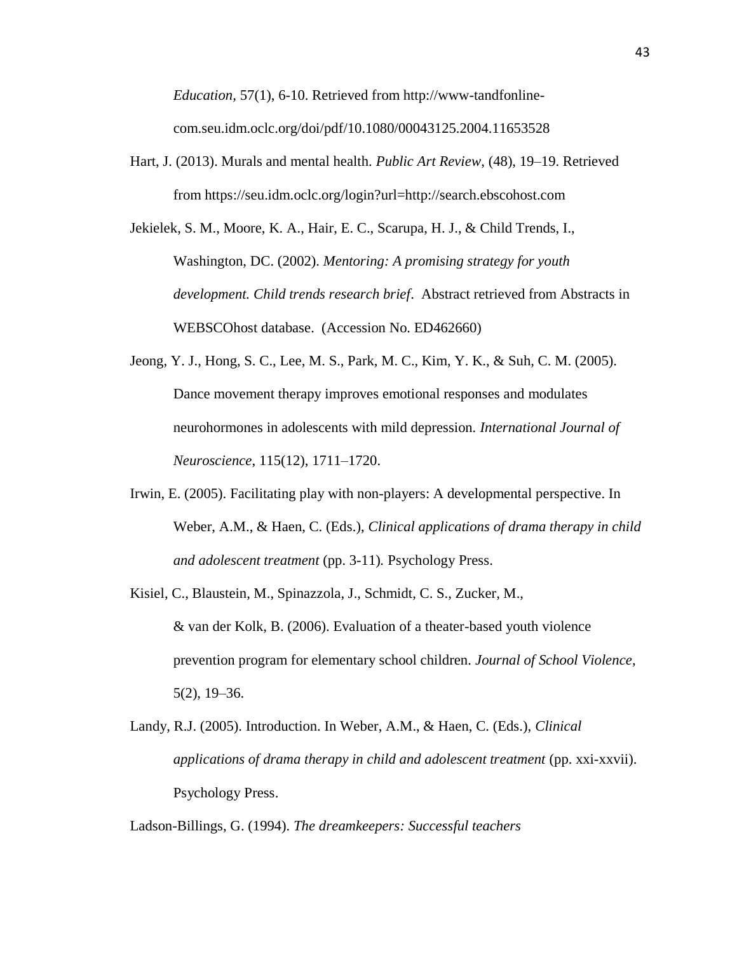*Education,* 57(1), 6-10. Retrieved from http://www-tandfonlinecom.seu.idm.oclc.org/doi/pdf/10.1080/00043125.2004.11653528

- Hart, J. (2013). Murals and mental health. *Public Art Review*, (48), 19–19. Retrieved from https://seu.idm.oclc.org/login?url=http://search.ebscohost.com
- Jekielek, S. M., Moore, K. A., Hair, E. C., Scarupa, H. J., & Child Trends, I., Washington, DC. (2002). *Mentoring: A promising strategy for youth development. Child trends research brief*. Abstract retrieved from Abstracts in WEBSCOhost database. (Accession No. ED462660)
- Jeong, Y. J., Hong, S. C., Lee, M. S., Park, M. C., Kim, Y. K., & Suh, C. M. (2005). Dance movement therapy improves emotional responses and modulates neurohormones in adolescents with mild depression*. International Journal of Neuroscience*, 115(12), 1711–1720.
- Irwin, E. (2005). Facilitating play with non-players: A developmental perspective. In Weber, A.M., & Haen, C. (Eds.), *Clinical applications of drama therapy in child and adolescent treatment* (pp. 3-11)*.* Psychology Press.
- Kisiel, C., Blaustein, M., Spinazzola, J., Schmidt, C. S., Zucker, M., & van der Kolk, B. (2006). Evaluation of a theater-based youth violence prevention program for elementary school children. *Journal of School Violence*, 5(2), 19–36.
- Landy, R.J. (2005). Introduction. In Weber, A.M., & Haen, C. (Eds.), *Clinical applications of drama therapy in child and adolescent treatment (pp. xxi-xxvii).* Psychology Press.

Ladson-Billings, G. (1994). *The dreamkeepers: Successful teachers*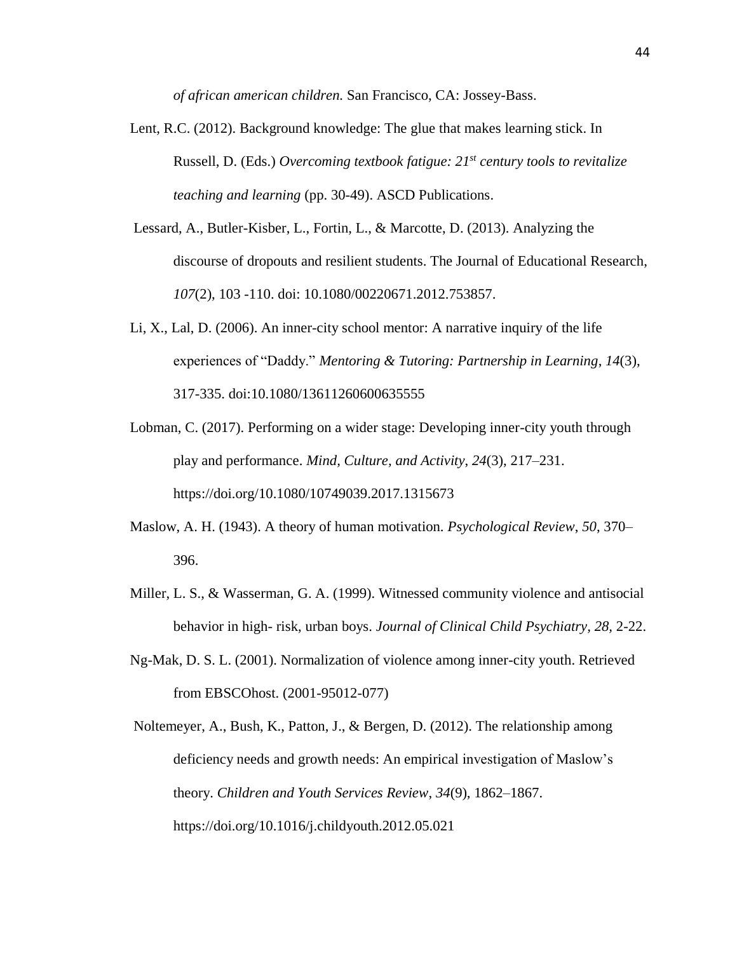*of african american children.* San Francisco, CA: Jossey-Bass.

- Lent, R.C. (2012). Background knowledge: The glue that makes learning stick. In Russell, D. (Eds.) *Overcoming textbook fatigue: 21st century tools to revitalize teaching and learning* (pp. 30-49). ASCD Publications.
- Lessard, A., Butler-Kisber, L., Fortin, L., & Marcotte, D. (2013). Analyzing the discourse of dropouts and resilient students. The Journal of Educational Research, *107*(2), 103 -110. doi: 10.1080/00220671.2012.753857.
- Li, X., Lal, D. (2006). An inner-city school mentor: A narrative inquiry of the life experiences of "Daddy." *Mentoring & Tutoring: Partnership in Learning*, *14*(3), 317-335. doi:10.1080/13611260600635555
- Lobman, C. (2017). Performing on a wider stage: Developing inner-city youth through play and performance. *Mind, Culture, and Activity*, *24*(3), 217–231. https://doi.org/10.1080/10749039.2017.1315673
- Maslow, A. H. (1943). A theory of human motivation. *Psychological Review*, *50*, 370– 396.
- Miller, L. S., & Wasserman, G. A. (1999). Witnessed community violence and antisocial behavior in high- risk, urban boys. *Journal of Clinical Child Psychiatry, 28,* 2-22.
- Ng-Mak, D. S. L. (2001). Normalization of violence among inner-city youth. Retrieved from EBSCOhost. (2001-95012-077)

Noltemeyer, A., Bush, K., Patton, J., & Bergen, D. (2012). The relationship among deficiency needs and growth needs: An empirical investigation of Maslow's theory. *Children and Youth Services Review*, *34*(9), 1862–1867. https://doi.org/10.1016/j.childyouth.2012.05.021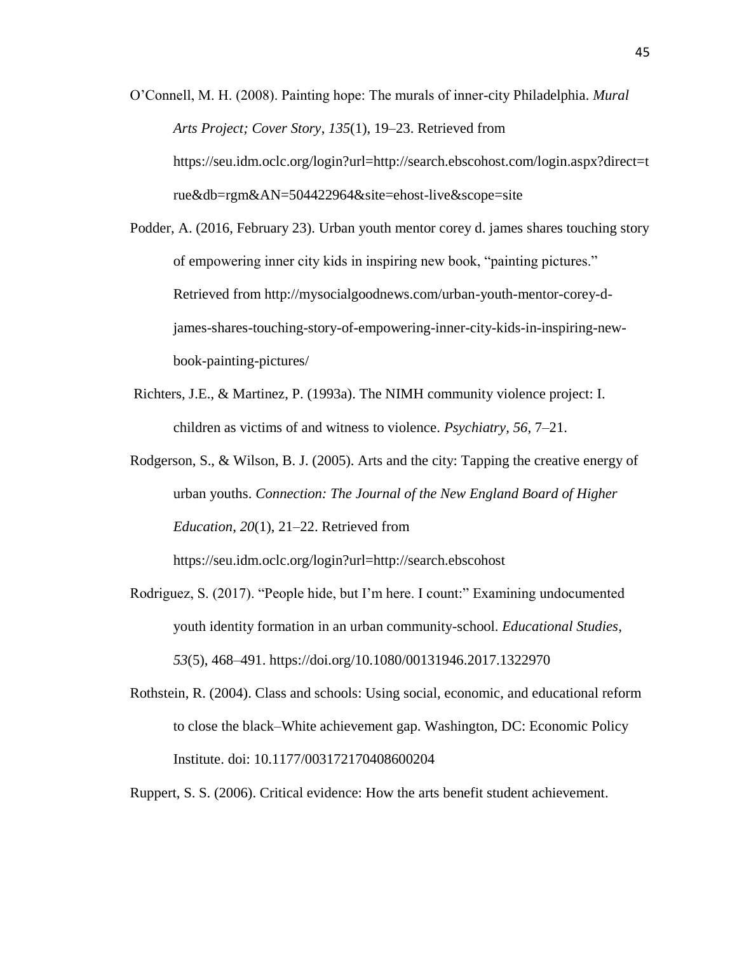- O'Connell, M. H. (2008). Painting hope: The murals of inner-city Philadelphia. *Mural Arts Project; Cover Story*, *135*(1), 19–23. Retrieved from https://seu.idm.oclc.org/login?url=http://search.ebscohost.com/login.aspx?direct=t rue&db=rgm&AN=504422964&site=ehost-live&scope=site
- Podder, A. (2016, February 23). Urban youth mentor corey d. james shares touching story of empowering inner city kids in inspiring new book, "painting pictures." Retrieved from http://mysocialgoodnews.com/urban-youth-mentor-corey-djames-shares-touching-story-of-empowering-inner-city-kids-in-inspiring-newbook-painting-pictures/
- Richters, J.E., & Martinez, P. (1993a). The NIMH community violence project: I. children as victims of and witness to violence. *Psychiatry, 56*, 7–21.
- Rodgerson, S., & Wilson, B. J. (2005). Arts and the city: Tapping the creative energy of urban youths. *Connection: The Journal of the New England Board of Higher Education*, *20*(1), 21–22. Retrieved from

https://seu.idm.oclc.org/login?url=http://search.ebscohost

- Rodriguez, S. (2017). "People hide, but I'm here. I count:" Examining undocumented youth identity formation in an urban community-school. *Educational Studies*, *53*(5), 468–491. https://doi.org/10.1080/00131946.2017.1322970
- Rothstein, R. (2004). Class and schools: Using social, economic, and educational reform to close the black–White achievement gap. Washington, DC: Economic Policy Institute. doi: 10.1177/003172170408600204
- Ruppert, S. S. (2006). Critical evidence: How the arts benefit student achievement.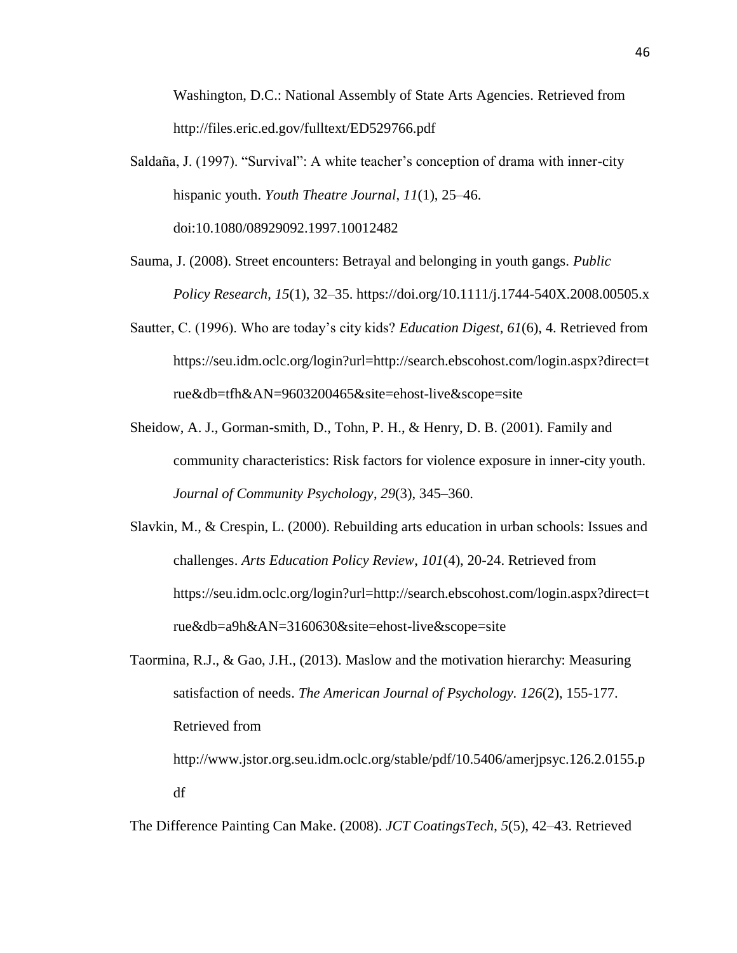Washington, D.C.: National Assembly of State Arts Agencies. Retrieved from http://files.eric.ed.gov/fulltext/ED529766.pdf

- Saldaña, J. (1997). "Survival": A white teacher's conception of drama with inner-city hispanic youth. *Youth Theatre Journal*, *11*(1), 25–46. doi:10.1080/08929092.1997.10012482
- Sauma, J. (2008). Street encounters: Betrayal and belonging in youth gangs. *Public Policy Research*, *15*(1), 32–35. https://doi.org/10.1111/j.1744-540X.2008.00505.x
- Sautter, C. (1996). Who are today's city kids? *Education Digest*, *61*(6), 4. Retrieved from https://seu.idm.oclc.org/login?url=http://search.ebscohost.com/login.aspx?direct=t rue&db=tfh&AN=9603200465&site=ehost-live&scope=site
- Sheidow, A. J., Gorman-smith, D., Tohn, P. H., & Henry, D. B. (2001). Family and community characteristics: Risk factors for violence exposure in inner-city youth. *Journal of Community Psychology*, *29*(3), 345–360.
- Slavkin, M., & Crespin, L. (2000). Rebuilding arts education in urban schools: Issues and challenges. *Arts Education Policy Review*, *101*(4), 20-24. Retrieved from https://seu.idm.oclc.org/login?url=http://search.ebscohost.com/login.aspx?direct=t rue&db=a9h&AN=3160630&site=ehost-live&scope=site
- Taormina, R.J., & Gao, J.H., (2013). Maslow and the motivation hierarchy: Measuring satisfaction of needs. *The American Journal of Psychology. 126*(2), 155-177. Retrieved from

http://www.jstor.org.seu.idm.oclc.org/stable/pdf/10.5406/amerjpsyc.126.2.0155.p df

The Difference Painting Can Make. (2008). *JCT CoatingsTech*, *5*(5), 42–43. Retrieved